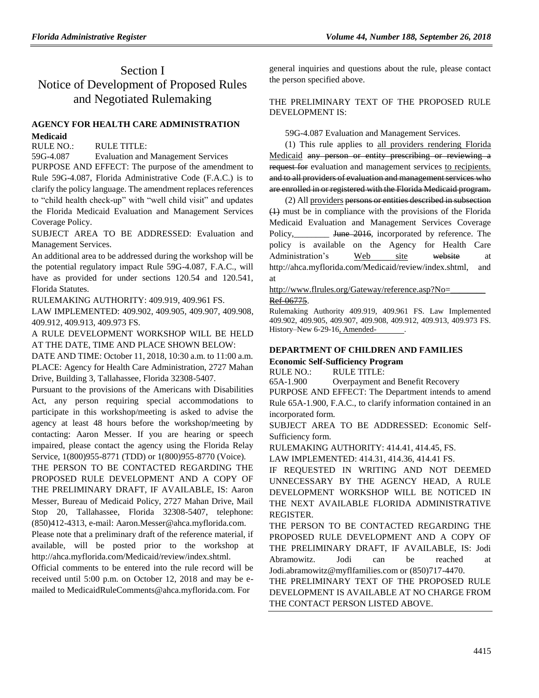# Section I Notice of Development of Proposed Rules and Negotiated Rulemaking

## **[AGENCY FOR HEALTH CARE ADMINISTRATION](https://www.flrules.org/gateway/department.asp?id=59) [Medicaid](https://www.flrules.org/gateway/organization.asp?id=192)**

RULE NO.: RULE TITLE:

[59G-4.087](https://www.flrules.org/gateway/ruleNo.asp?id=59G-4.087) Evaluation and Management Services

PURPOSE AND EFFECT: The purpose of the amendment to Rule 59G-4.087, Florida Administrative Code (F.A.C.) is to clarify the policy language. The amendment replaces references to "child health check-up" with "well child visit" and updates the Florida Medicaid Evaluation and Management Services Coverage Policy.

SUBJECT AREA TO BE ADDRESSED: Evaluation and Management Services.

An additional area to be addressed during the workshop will be the potential regulatory impact Rule 59G-4.087, F.A.C., will have as provided for under sections 120.54 and 120.541, Florida Statutes.

RULEMAKING AUTHORITY: [409.919,](https://www.flrules.org/gateway/statute.asp?id=409.919) [409.961 FS.](https://www.flrules.org/gateway/statute.asp?id=%20409.961%20FS.)

LAW IMPLEMENTED: [409.902,](https://www.flrules.org/gateway/statute.asp?id=409.902) [409.905,](https://www.flrules.org/gateway/statute.asp?id=%20409.905) [409.907,](https://www.flrules.org/gateway/statute.asp?id=%20409.907) [409.908,](https://www.flrules.org/gateway/statute.asp?id=%20409.908) [409.912,](https://www.flrules.org/gateway/statute.asp?id=%20409.912) [409.913,](https://www.flrules.org/gateway/statute.asp?id=%20409.913) [409.973 FS.](https://www.flrules.org/gateway/statute.asp?id=%20409.973%20FS.)

A RULE DEVELOPMENT WORKSHOP WILL BE HELD AT THE DATE, TIME AND PLACE SHOWN BELOW:

DATE AND TIME: October 11, 2018, 10:30 a.m. to 11:00 a.m. PLACE: Agency for Health Care Administration, 2727 Mahan Drive, Building 3, Tallahassee, Florida 32308-5407.

Pursuant to the provisions of the Americans with Disabilities Act, any person requiring special accommodations to participate in this workshop/meeting is asked to advise the agency at least 48 hours before the workshop/meeting by contacting: Aaron Messer. If you are hearing or speech impaired, please contact the agency using the Florida Relay Service, 1(800)955-8771 (TDD) or 1(800)955-8770 (Voice).

THE PERSON TO BE CONTACTED REGARDING THE PROPOSED RULE DEVELOPMENT AND A COPY OF THE PRELIMINARY DRAFT, IF AVAILABLE, IS: Aaron Messer, Bureau of Medicaid Policy, 2727 Mahan Drive, Mail Stop 20, Tallahassee, Florida 32308-5407, telephone: (850)412-4313, e-mail: Aaron.Messer@ahca.myflorida.com.

Please note that a preliminary draft of the reference material, if available, will be posted prior to the workshop at http://ahca.myflorida.com/Medicaid/review/index.shtml.

Official comments to be entered into the rule record will be received until 5:00 p.m. on October 12, 2018 and may be emailed to MedicaidRuleComments@ahca.myflorida.com. For

general inquiries and questions about the rule, please contact the person specified above.

## THE PRELIMINARY TEXT OF THE PROPOSED RULE DEVELOPMENT IS:

59G-4.087 Evaluation and Management Services.

(1) This rule applies to all providers rendering Florida Medicaid any person or entity prescribing or reviewing a request for evaluation and management services to recipients. and to all providers of evaluation and management services who are enrolled in or registered with the Florida Medicaid program.

(2) All providers persons or entities described in subsection (1) must be in compliance with the provisions of the Florida Medicaid Evaluation and Management Services Coverage Policy, June 2016, incorporated by reference. The policy is available on the Agency for Health Care Administration's Web site website at http://ahca.myflorida.com/Medicaid/review/index.shtml, and at

http://www.flrules.org/Gateway/reference.asp?No=

[Ref-06775.](http://www.flrules.org/Gateway/reference.asp?No=________%20Ref-06775)

Rulemaking Authority 409.919, 409.961 FS. Law Implemented 409.902, 409.905, 409.907, 409.908, 409.912, 409.913, 409.973 FS. History–New 6-29-16, Amended-

## **[DEPARTMENT OF CHILDREN AND FAMILIES](https://www.flrules.org/gateway/department.asp?id=65)**

**[Economic Self-Sufficiency Program](https://www.flrules.org/gateway/organization.asp?id=340)**

RULE NO.: RULE TITLE:

[65A-1.900](https://www.flrules.org/gateway/ruleNo.asp?id=65A-1.900) Overpayment and Benefit Recovery PURPOSE AND EFFECT: The Department intends to amend Rule 65A-1.900, F.A.C., to clarify information contained in an incorporated form.

SUBJECT AREA TO BE ADDRESSED: Economic Self-Sufficiency form.

RULEMAKING AUTHORITY: [414.41,](https://www.flrules.org/gateway/statute.asp?id=414.41) [414.45,](https://www.flrules.org/gateway/statute.asp?id=%20414.45) FS.

LAW IMPLEMENTED: [414.31,](https://www.flrules.org/gateway/statute.asp?id=414.31) [414.36,](https://www.flrules.org/gateway/statute.asp?id=%20414.36) [414.41 FS.](https://www.flrules.org/gateway/statute.asp?id=%20414.41%20F.S.)

IF REQUESTED IN WRITING AND NOT DEEMED UNNECESSARY BY THE AGENCY HEAD, A RULE DEVELOPMENT WORKSHOP WILL BE NOTICED IN THE NEXT AVAILABLE FLORIDA ADMINISTRATIVE REGISTER.

THE PERSON TO BE CONTACTED REGARDING THE PROPOSED RULE DEVELOPMENT AND A COPY OF THE PRELIMINARY DRAFT, IF AVAILABLE, IS: Jodi Abramowitz. Jodi can be reached at Jodi.abramowitz@myflfamilies.com or (850)717-4470.

THE PRELIMINARY TEXT OF THE PROPOSED RULE DEVELOPMENT IS AVAILABLE AT NO CHARGE FROM THE CONTACT PERSON LISTED ABOVE.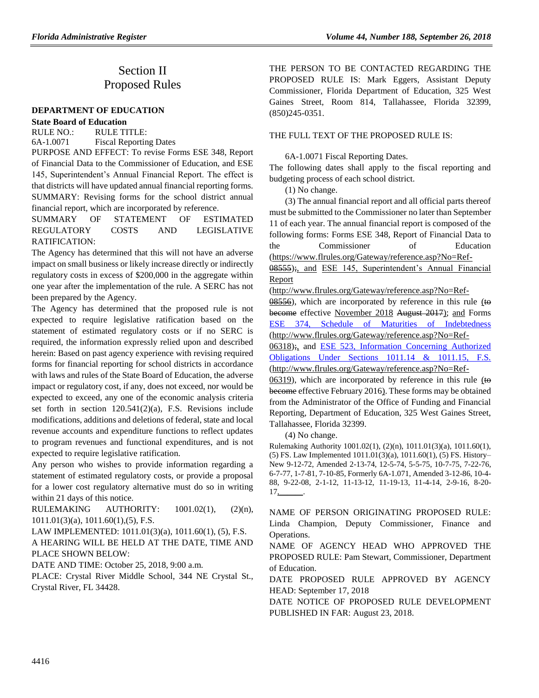## Section II Proposed Rules

### **[DEPARTMENT OF EDUCATION](https://www.flrules.org/gateway/department.asp?id=6)**

#### **[State Board of Education](https://www.flrules.org/gateway/organization.asp?id=195)**

RULE NO.: RULE TITLE: [6A-1.0071](https://www.flrules.org/gateway/ruleNo.asp?id=6A-1.0071) Fiscal Reporting Dates

PURPOSE AND EFFECT: To revise Forms ESE 348, Report of Financial Data to the Commissioner of Education, and ESE 145, Superintendent's Annual Financial Report. The effect is that districts will have updated annual financial reporting forms. SUMMARY: Revising forms for the school district annual financial report, which are incorporated by reference.

SUMMARY OF STATEMENT OF ESTIMATED REGULATORY COSTS AND LEGISLATIVE RATIFICATION:

The Agency has determined that this will not have an adverse impact on small business or likely increase directly or indirectly regulatory costs in excess of \$200,000 in the aggregate within one year after the implementation of the rule. A SERC has not been prepared by the Agency.

The Agency has determined that the proposed rule is not expected to require legislative ratification based on the statement of estimated regulatory costs or if no SERC is required, the information expressly relied upon and described herein: Based on past agency experience with revising required forms for financial reporting for school districts in accordance with laws and rules of the State Board of Education, the adverse impact or regulatory cost, if any, does not exceed, nor would be expected to exceed, any one of the economic analysis criteria set forth in section 120.541(2)(a), F.S. Revisions include modifications, additions and deletions of federal, state and local revenue accounts and expenditure functions to reflect updates to program revenues and functional expenditures, and is not expected to require legislative ratification.

Any person who wishes to provide information regarding a statement of estimated regulatory costs, or provide a proposal for a lower cost regulatory alternative must do so in writing within 21 days of this notice.

RULEMAKING AUTHORITY: [1001.02\(1\),](https://www.flrules.org/gateway/statute.asp?id=1001.02(1)) (2)(n), [1011.01\(3\)\(a\),](https://www.flrules.org/gateway/statute.asp?id=%201011.01(3)(a)) [1011.60\(1\),](https://www.flrules.org/gateway/statute.asp?id=%201011.60(1))(5), F.S.

LAW IMPLEMENTED: [1011.01\(3\)\(a\),](https://www.flrules.org/gateway/statute.asp?id=1011.01(3)(a)) [1011.60\(1\),](https://www.flrules.org/gateway/statute.asp?id=%201011.60(1)) (5), F.S.

A HEARING WILL BE HELD AT THE DATE, TIME AND PLACE SHOWN BELOW:

DATE AND TIME: October 25, 2018, 9:00 a.m.

PLACE: Crystal River Middle School, 344 NE Crystal St., Crystal River, FL 34428.

THE PERSON TO BE CONTACTED REGARDING THE PROPOSED RULE IS: Mark Eggers, Assistant Deputy Commissioner, Florida Department of Education, 325 West Gaines Street, Room 814, Tallahassee, Florida 32399, (850)245-0351.

#### THE FULL TEXT OF THE PROPOSED RULE IS:

6A-1.0071 Fiscal Reporting Dates.

The following dates shall apply to the fiscal reporting and budgeting process of each school district.

(1) No change.

(3) The annual financial report and all official parts thereof must be submitted to the Commissioner no later than September 11 of each year. The annual financial report is composed of the following forms: Forms ESE 348, Report of Financial Data to the Commissioner of Education (https://www.flrules.org/Gateway/reference.asp?No=Ref-

08555);, and [ESE 145, Superintendent's Annual Financial](file:///C:/Users/rebecca.pruett/AppData/Local/Microsoft/Windows/Temporary%20Internet%20Files/Content.IE5/38SYNR8R/ESE%20145,%20Superintendent)  [Report](file:///C:/Users/rebecca.pruett/AppData/Local/Microsoft/Windows/Temporary%20Internet%20Files/Content.IE5/38SYNR8R/ESE%20145,%20Superintendent)

(http://www.flrules.org/Gateway/reference.asp?No=Ref-

 $08556$ ), which are incorporated by reference in this rule (to become effective November 2018 August 2017); and Forms [ESE 374, Schedule of Maturities of Indebtedness](http://www.flrules.org/Gateway/reference.asp?No=Ref-00650) (http://www.flrules.org/Gateway/reference.asp?No=Ref-

06318);, and [ESE 523, Information Concerning Authorized](http://www.flrules.org/Gateway/reference.asp?No=Ref-00651)  [Obligations Under Sections 1011.14 & 1011.15, F.S.](http://www.flrules.org/Gateway/reference.asp?No=Ref-00651) (http://www.flrules.org/Gateway/reference.asp?No=Ref-

06319), which are incorporated by reference in this rule  $(10$ become effective February 2016). These forms may be obtained from the Administrator of the Office of Funding and Financial Reporting, Department of Education, 325 West Gaines Street, Tallahassee, Florida 32399.

(4) No change.

Rulemaking Authority 1001.02(1), (2)(n), 1011.01(3)(a), 1011.60(1), (5) FS. Law Implemented 1011.01(3)(a), 1011.60(1), (5) FS. History– New 9-12-72, Amended 2-13-74, 12-5-74, 5-5-75, 10-7-75, 7-22-76, 6-7-77, 1-7-81, 7-10-85, Formerly 6A-1.071, Amended 3-12-86, 10-4- 88, 9-22-08, 2-1-12, 11-13-12, 11-19-13, 11-4-14, 2-9-16, 8-20- 17,\_\_\_\_\_\_.

NAME OF PERSON ORIGINATING PROPOSED RULE: Linda Champion, Deputy Commissioner, Finance and Operations.

NAME OF AGENCY HEAD WHO APPROVED THE PROPOSED RULE: Pam Stewart, Commissioner, Department of Education.

DATE PROPOSED RULE APPROVED BY AGENCY HEAD: September 17, 2018

DATE NOTICE OF PROPOSED RULE DEVELOPMENT PUBLISHED IN FAR: August 23, 2018.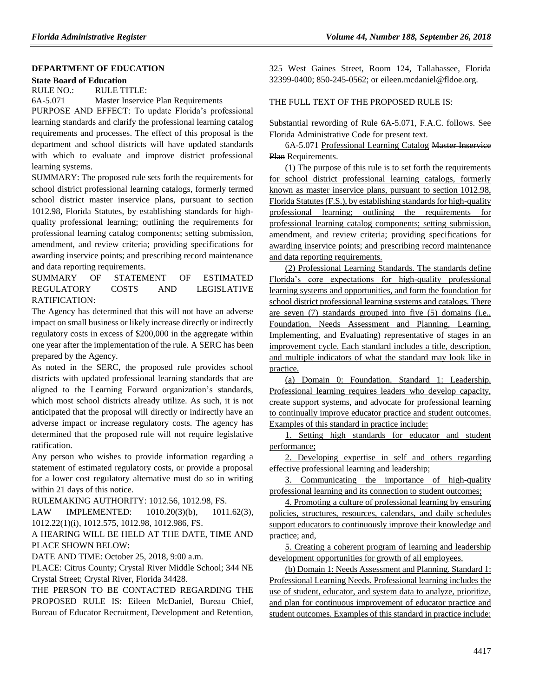#### **[DEPARTMENT OF EDUCATION](https://www.flrules.org/gateway/department.asp?id=6)**

#### **[State Board of Education](https://www.flrules.org/gateway/organization.asp?id=195)**

RULE NO.: RULE TITLE:

[6A-5.071](https://www.flrules.org/gateway/ruleNo.asp?id=6A-5.071) Master Inservice Plan Requirements

PURPOSE AND EFFECT: To update Florida's professional learning standards and clarify the professional learning catalog requirements and processes. The effect of this proposal is the department and school districts will have updated standards with which to evaluate and improve district professional learning systems.

SUMMARY: The proposed rule sets forth the requirements for school district professional learning catalogs, formerly termed school district master inservice plans, pursuant to section 1012.98, Florida Statutes, by establishing standards for highquality professional learning; outlining the requirements for professional learning catalog components; setting submission, amendment, and review criteria; providing specifications for awarding inservice points; and prescribing record maintenance and data reporting requirements.

SUMMARY OF STATEMENT OF ESTIMATED REGULATORY COSTS AND LEGISLATIVE RATIFICATION:

The Agency has determined that this will not have an adverse impact on small business or likely increase directly or indirectly regulatory costs in excess of \$200,000 in the aggregate within one year after the implementation of the rule. A SERC has been prepared by the Agency.

As noted in the SERC, the proposed rule provides school districts with updated professional learning standards that are aligned to the Learning Forward organization's standards, which most school districts already utilize. As such, it is not anticipated that the proposal will directly or indirectly have an adverse impact or increase regulatory costs. The agency has determined that the proposed rule will not require legislative ratification.

Any person who wishes to provide information regarding a statement of estimated regulatory costs, or provide a proposal for a lower cost regulatory alternative must do so in writing within 21 days of this notice.

RULEMAKING AUTHORITY: [1012.56,](https://www.flrules.org/gateway/statute.asp?id=1012.56) [1012.98,](https://www.flrules.org/gateway/statute.asp?id=%201012.98) FS.

LAW IMPLEMENTED: [1010.20\(3\)\(b\),](https://www.flrules.org/gateway/statute.asp?id=1010.20(3)(b)) [1011.62\(3\),](https://www.flrules.org/gateway/statute.asp?id=%201011.62(3)) [1012.22\(1\)\(i\),](https://www.flrules.org/gateway/statute.asp?id=%201012.22(1)(i)) [1012.575,](https://www.flrules.org/gateway/statute.asp?id=%201012.575) [1012.98,](https://www.flrules.org/gateway/statute.asp?id=1012.98) [1012.986,](https://www.flrules.org/gateway/statute.asp?id=%201012.986) FS.

A HEARING WILL BE HELD AT THE DATE, TIME AND PLACE SHOWN BELOW:

DATE AND TIME: October 25, 2018, 9:00 a.m.

PLACE: Citrus County; Crystal River Middle School; 344 NE Crystal Street; Crystal River, Florida 34428.

THE PERSON TO BE CONTACTED REGARDING THE PROPOSED RULE IS: Eileen McDaniel, Bureau Chief, Bureau of Educator Recruitment, Development and Retention, 325 West Gaines Street, Room 124, Tallahassee, Florida 32399-0400; 850-245-0562; or eileen.mcdaniel@fldoe.org.

## THE FULL TEXT OF THE PROPOSED RULE IS:

Substantial rewording of Rule 6A-5.071, F.A.C. follows. See Florida Administrative Code for present text.

6A-5.071 Professional Learning Catalog Master Inservice Plan Requirements.

(1) The purpose of this rule is to set forth the requirements for school district professional learning catalogs, formerly known as master inservice plans, pursuant to section 1012.98, Florida Statutes (F.S.), by establishing standards for high-quality professional learning; outlining the requirements for professional learning catalog components; setting submission, amendment, and review criteria; providing specifications for awarding inservice points; and prescribing record maintenance and data reporting requirements.

(2) Professional Learning Standards. The standards define Florida's core expectations for high-quality professional learning systems and opportunities, and form the foundation for school district professional learning systems and catalogs. There are seven (7) standards grouped into five (5) domains (i.e., Foundation, Needs Assessment and Planning, Learning, Implementing, and Evaluating) representative of stages in an improvement cycle. Each standard includes a title, description, and multiple indicators of what the standard may look like in practice.

(a) Domain 0: Foundation. Standard 1: Leadership. Professional learning requires leaders who develop capacity, create support systems, and advocate for professional learning to continually improve educator practice and student outcomes. Examples of this standard in practice include:

1. Setting high standards for educator and student performance;

2. Developing expertise in self and others regarding effective professional learning and leadership;

3. Communicating the importance of high-quality professional learning and its connection to student outcomes;

4. Promoting a culture of professional learning by ensuring policies, structures, resources, calendars, and daily schedules support educators to continuously improve their knowledge and practice; and,

5. Creating a coherent program of learning and leadership development opportunities for growth of all employees.

(b) Domain 1: Needs Assessment and Planning. Standard 1: Professional Learning Needs. Professional learning includes the use of student, educator, and system data to analyze, prioritize, and plan for continuous improvement of educator practice and student outcomes. Examples of this standard in practice include: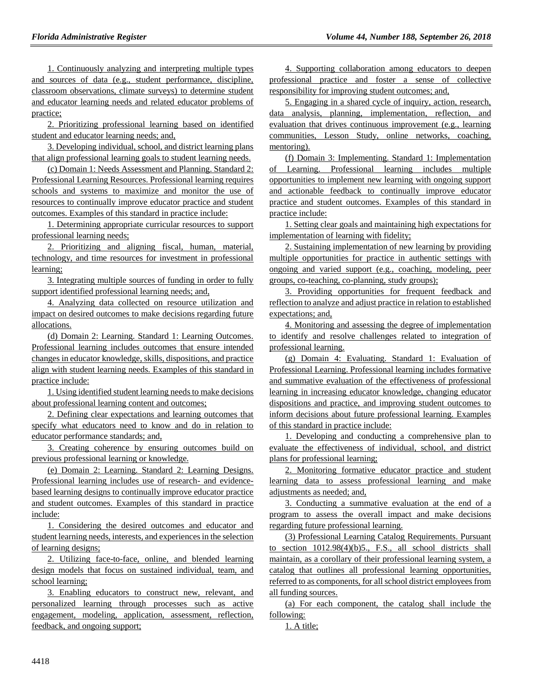1. Continuously analyzing and interpreting multiple types and sources of data (e.g., student performance, discipline, classroom observations, climate surveys) to determine student and educator learning needs and related educator problems of practice;

2. Prioritizing professional learning based on identified student and educator learning needs; and,

3. Developing individual, school, and district learning plans that align professional learning goals to student learning needs.

(c) Domain 1: Needs Assessment and Planning. Standard 2: Professional Learning Resources. Professional learning requires schools and systems to maximize and monitor the use of resources to continually improve educator practice and student outcomes. Examples of this standard in practice include:

1. Determining appropriate curricular resources to support professional learning needs;

2. Prioritizing and aligning fiscal, human, material, technology, and time resources for investment in professional learning;

3. Integrating multiple sources of funding in order to fully support identified professional learning needs; and,

4. Analyzing data collected on resource utilization and impact on desired outcomes to make decisions regarding future allocations.

(d) Domain 2: Learning. Standard 1: Learning Outcomes. Professional learning includes outcomes that ensure intended changes in educator knowledge, skills, dispositions, and practice align with student learning needs. Examples of this standard in practice include:

1. Using identified student learning needs to make decisions about professional learning content and outcomes;

2. Defining clear expectations and learning outcomes that specify what educators need to know and do in relation to educator performance standards; and,

3. Creating coherence by ensuring outcomes build on previous professional learning or knowledge.

(e) Domain 2: Learning. Standard 2: Learning Designs. Professional learning includes use of research- and evidencebased learning designs to continually improve educator practice and student outcomes. Examples of this standard in practice include:

1. Considering the desired outcomes and educator and student learning needs, interests, and experiences in the selection of learning designs;

2. Utilizing face-to-face, online, and blended learning design models that focus on sustained individual, team, and school learning;

3. Enabling educators to construct new, relevant, and personalized learning through processes such as active engagement, modeling, application, assessment, reflection, feedback, and ongoing support;

4. Supporting collaboration among educators to deepen professional practice and foster a sense of collective responsibility for improving student outcomes; and,

5. Engaging in a shared cycle of inquiry, action, research, data analysis, planning, implementation, reflection, and evaluation that drives continuous improvement (e.g., learning communities, Lesson Study, online networks, coaching, mentoring).

(f) Domain 3: Implementing. Standard 1: Implementation of Learning. Professional learning includes multiple opportunities to implement new learning with ongoing support and actionable feedback to continually improve educator practice and student outcomes. Examples of this standard in practice include:

1. Setting clear goals and maintaining high expectations for implementation of learning with fidelity;

2. Sustaining implementation of new learning by providing multiple opportunities for practice in authentic settings with ongoing and varied support (e.g., coaching, modeling, peer groups, co-teaching, co-planning, study groups);

3. Providing opportunities for frequent feedback and reflection to analyze and adjust practice in relation to established expectations; and,

4. Monitoring and assessing the degree of implementation to identify and resolve challenges related to integration of professional learning.

(g) Domain 4: Evaluating. Standard 1: Evaluation of Professional Learning. Professional learning includes formative and summative evaluation of the effectiveness of professional learning in increasing educator knowledge, changing educator dispositions and practice, and improving student outcomes to inform decisions about future professional learning. Examples of this standard in practice include:

1. Developing and conducting a comprehensive plan to evaluate the effectiveness of individual, school, and district plans for professional learning;

2. Monitoring formative educator practice and student learning data to assess professional learning and make adjustments as needed; and,

3. Conducting a summative evaluation at the end of a program to assess the overall impact and make decisions regarding future professional learning.

(3) Professional Learning Catalog Requirements. Pursuant to section 1012.98(4)(b)5., F.S., all school districts shall maintain, as a corollary of their professional learning system, a catalog that outlines all professional learning opportunities, referred to as components, for all school district employees from all funding sources.

(a) For each component, the catalog shall include the following:

1. A title;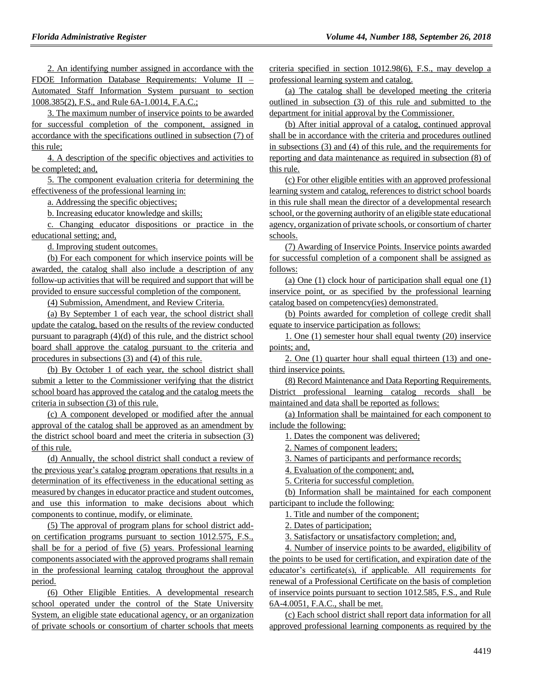2. An identifying number assigned in accordance with the FDOE Information Database Requirements: Volume II – Automated Staff Information System pursuant to section 1008.385(2), F.S., and Rule 6A-1.0014, F.A.C.;

3. The maximum number of inservice points to be awarded for successful completion of the component, assigned in accordance with the specifications outlined in subsection (7) of this rule;

4. A description of the specific objectives and activities to be completed; and,

5. The component evaluation criteria for determining the effectiveness of the professional learning in:

a. Addressing the specific objectives;

b. Increasing educator knowledge and skills;

c. Changing educator dispositions or practice in the educational setting; and,

d. Improving student outcomes.

(b) For each component for which inservice points will be awarded, the catalog shall also include a description of any follow-up activities that will be required and support that will be provided to ensure successful completion of the component.

(4) Submission, Amendment, and Review Criteria.

(a) By September 1 of each year, the school district shall update the catalog, based on the results of the review conducted pursuant to paragraph (4)(d) of this rule, and the district school board shall approve the catalog pursuant to the criteria and procedures in subsections (3) and (4) of this rule.

(b) By October 1 of each year, the school district shall submit a letter to the Commissioner verifying that the district school board has approved the catalog and the catalog meets the criteria in subsection (3) of this rule.

(c) A component developed or modified after the annual approval of the catalog shall be approved as an amendment by the district school board and meet the criteria in subsection (3) of this rule.

(d) Annually, the school district shall conduct a review of the previous year's catalog program operations that results in a determination of its effectiveness in the educational setting as measured by changes in educator practice and student outcomes, and use this information to make decisions about which components to continue, modify, or eliminate.

(5) The approval of program plans for school district addon certification programs pursuant to section 1012.575, F.S., shall be for a period of five (5) years. Professional learning components associated with the approved programs shall remain in the professional learning catalog throughout the approval period.

(6) Other Eligible Entities. A developmental research school operated under the control of the State University System, an eligible state educational agency, or an organization of private schools or consortium of charter schools that meets criteria specified in section 1012.98(6), F.S., may develop a professional learning system and catalog.

(a) The catalog shall be developed meeting the criteria outlined in subsection (3) of this rule and submitted to the department for initial approval by the Commissioner.

(b) After initial approval of a catalog, continued approval shall be in accordance with the criteria and procedures outlined in subsections (3) and (4) of this rule, and the requirements for reporting and data maintenance as required in subsection (8) of this rule.

(c) For other eligible entities with an approved professional learning system and catalog, references to district school boards in this rule shall mean the director of a developmental research school, or the governing authority of an eligible state educational agency, organization of private schools, or consortium of charter schools.

(7) Awarding of Inservice Points. Inservice points awarded for successful completion of a component shall be assigned as follows:

(a) One (1) clock hour of participation shall equal one (1) inservice point, or as specified by the professional learning catalog based on competency(ies) demonstrated.

(b) Points awarded for completion of college credit shall equate to inservice participation as follows:

1. One (1) semester hour shall equal twenty (20) inservice points; and,

2. One (1) quarter hour shall equal thirteen (13) and onethird inservice points.

(8) Record Maintenance and Data Reporting Requirements. District professional learning catalog records shall be maintained and data shall be reported as follows:

(a) Information shall be maintained for each component to include the following:

1. Dates the component was delivered;

2. Names of component leaders;

3. Names of participants and performance records;

4. Evaluation of the component; and,

5. Criteria for successful completion.

(b) Information shall be maintained for each component participant to include the following:

1. Title and number of the component;

2. Dates of participation;

3. Satisfactory or unsatisfactory completion; and,

4. Number of inservice points to be awarded, eligibility of the points to be used for certification, and expiration date of the educator's certificate(s), if applicable. All requirements for renewal of a Professional Certificate on the basis of completion of inservice points pursuant to section 1012.585, F.S., and Rule 6A-4.0051, F.A.C., shall be met.

(c) Each school district shall report data information for all approved professional learning components as required by the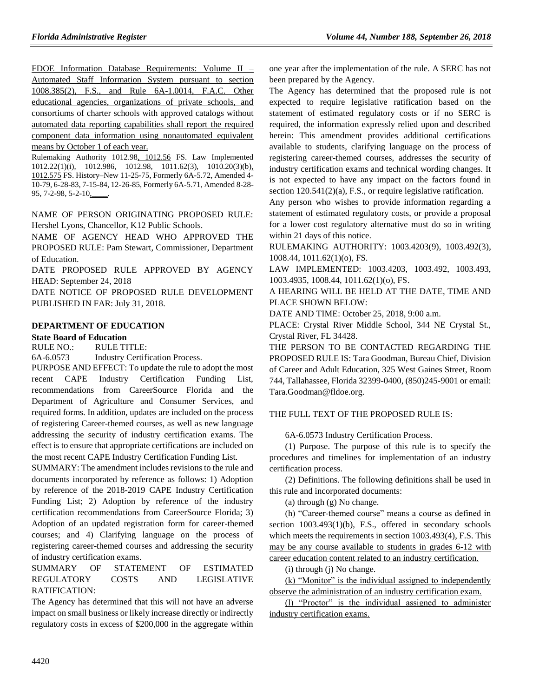FDOE Information Database Requirements: Volume II – Automated Staff Information System pursuant to section 1008.385(2), F.S., and Rule 6A-1.0014, F.A.C. Other educational agencies, organizations of private schools, and consortiums of charter schools with approved catalogs without automated data reporting capabilities shall report the required component data information using nonautomated equivalent means by October 1 of each year.

Rulemaking Authority 1012.98, 1012.56 FS. Law Implemented 1012.22(1)(i), 1012.986, 1012.98, 1011.62(3), 1010.20(3)(b), 1012.575 FS. History–New 11-25-75, Formerly 6A-5.72, Amended 4- 10-79, 6-28-83, 7-15-84, 12-26-85, Formerly 6A-5.71, Amended 8-28- 95, 7-2-98, 5-2-10,

NAME OF PERSON ORIGINATING PROPOSED RULE: Hershel Lyons, Chancellor, K12 Public Schools.

NAME OF AGENCY HEAD WHO APPROVED THE PROPOSED RULE: Pam Stewart, Commissioner, Department of Education.

DATE PROPOSED RULE APPROVED BY AGENCY HEAD: September 24, 2018

DATE NOTICE OF PROPOSED RULE DEVELOPMENT PUBLISHED IN FAR: July 31, 2018.

### **[DEPARTMENT OF EDUCATION](https://www.flrules.org/gateway/department.asp?id=6)**

### **[State Board of Education](https://www.flrules.org/gateway/organization.asp?id=195)**

RULE NO.: RULE TITLE:

[6A-6.0573](https://www.flrules.org/gateway/ruleNo.asp?id=6A-6.0573) Industry Certification Process.

PURPOSE AND EFFECT: To update the rule to adopt the most recent CAPE Industry Certification Funding List, recommendations from CareerSource Florida and the Department of Agriculture and Consumer Services, and required forms. In addition, updates are included on the process of registering Career-themed courses, as well as new language addressing the security of industry certification exams. The effect is to ensure that appropriate certifications are included on the most recent CAPE Industry Certification Funding List.

SUMMARY: The amendment includes revisions to the rule and documents incorporated by reference as follows: 1) Adoption by reference of the 2018-2019 CAPE Industry Certification Funding List; 2) Adoption by reference of the industry certification recommendations from CareerSource Florida; 3) Adoption of an updated registration form for career-themed courses; and 4) Clarifying language on the process of registering career-themed courses and addressing the security of industry certification exams.

SUMMARY OF STATEMENT OF ESTIMATED REGULATORY COSTS AND LEGISLATIVE RATIFICATION:

The Agency has determined that this will not have an adverse impact on small business or likely increase directly or indirectly regulatory costs in excess of \$200,000 in the aggregate within one year after the implementation of the rule. A SERC has not been prepared by the Agency.

The Agency has determined that the proposed rule is not expected to require legislative ratification based on the statement of estimated regulatory costs or if no SERC is required, the information expressly relied upon and described herein: This amendment provides additional certifications available to students, clarifying language on the process of registering career-themed courses, addresses the security of industry certification exams and technical wording changes. It is not expected to have any impact on the factors found in section  $120.541(2)(a)$ , F.S., or require legislative ratification.

Any person who wishes to provide information regarding a statement of estimated regulatory costs, or provide a proposal for a lower cost regulatory alternative must do so in writing within 21 days of this notice.

RULEMAKING AUTHORITY: [1003.4203\(9\),](https://www.flrules.org/gateway/statute.asp?id=1003.4203(9)) [1003.492\(3\),](https://www.flrules.org/gateway/statute.asp?id=%201003.492(3)) [1008.44,](https://www.flrules.org/gateway/statute.asp?id=%201008.44) [1011.62\(1\)\(o\),](https://www.flrules.org/gateway/statute.asp?id=%201011.62(1)(o)) FS.

LAW IMPLEMENTED: [1003.4203, 1003.492, 1003.493,](https://www.flrules.org/gateway/cfr.asp?id=1003.4203,%201003.492,%201003.493,%201003.4935,%201008.44,%201011.62(1)(o),%20F.S)  [1003.4935, 1008.44, 1011.62\(1\)\(o\), FS.](https://www.flrules.org/gateway/cfr.asp?id=1003.4203,%201003.492,%201003.493,%201003.4935,%201008.44,%201011.62(1)(o),%20F.S)

A HEARING WILL BE HELD AT THE DATE, TIME AND PLACE SHOWN BELOW:

DATE AND TIME: October 25, 2018, 9:00 a.m.

PLACE: Crystal River Middle School, 344 NE Crystal St., Crystal River, FL 34428.

THE PERSON TO BE CONTACTED REGARDING THE PROPOSED RULE IS: Tara Goodman, Bureau Chief, Division of Career and Adult Education, 325 West Gaines Street, Room 744, Tallahassee, Florida 32399-0400, (850)245-9001 or email: Tara.Goodman@fldoe.org.

## THE FULL TEXT OF THE PROPOSED RULE IS:

6A-6.0573 Industry Certification Process.

(1) Purpose. The purpose of this rule is to specify the procedures and timelines for implementation of an industry certification process.

(2) Definitions. The following definitions shall be used in this rule and incorporated documents:

(a) through (g) No change.

(h) "Career-themed course" means a course as defined in section 1003.493(1)(b), F.S., offered in secondary schools which meets the requirements in section 1003.493(4), F.S. This may be any course available to students in grades 6-12 with career education content related to an industry certification.

(i) through (j) No change.

(k) "Monitor" is the individual assigned to independently observe the administration of an industry certification exam.

(l) "Proctor" is the individual assigned to administer industry certification exams.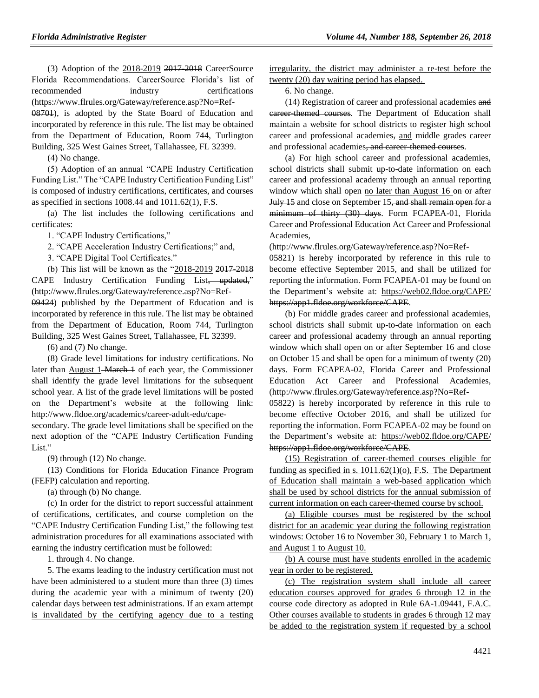(3) Adoption of the 2018-2019 2017-2018 CareerSource Florida Recommendations. CareerSource Florida's list of recommended industry certifications (https://www.flrules.org/Gateway/reference.asp?No=Ref-08701), is adopted by the State Board of Education and incorporated by reference in this rule. The list may be obtained from the Department of Education, Room 744, Turlington Building, 325 West Gaines Street, Tallahassee, FL 32399.

(4) No change.

(5) Adoption of an annual "CAPE Industry Certification Funding List." The "CAPE Industry Certification Funding List" is composed of industry certifications, certificates, and courses as specified in sections 1008.44 and 1011.62(1), F.S.

(a) The list includes the following certifications and certificates:

1. "CAPE Industry Certifications,"

2. "CAPE Acceleration Industry Certifications;" and,

3. "CAPE Digital Tool Certificates."

(b) This list will be known as the "2018-2019 2017-2018 CAPE Industry Certification Funding List, updated," (http://www.flrules.org/Gateway/reference.asp?No=Ref-09424) published by the Department of Education and is incorporated by reference in this rule. The list may be obtained from the Department of Education, Room 744, Turlington

Building, 325 West Gaines Street, Tallahassee, FL 32399.

(6) and (7) No change.

(8) Grade level limitations for industry certifications. No later than August 1-March 1 of each year, the Commissioner shall identify the grade level limitations for the subsequent school year. A list of the grade level limitations will be posted on the Department's website at the following link: http://www.fldoe.org/academics/career-adult-edu/cape-

secondary. The grade level limitations shall be specified on the next adoption of the "CAPE Industry Certification Funding List."

(9) through (12) No change.

(13) Conditions for Florida Education Finance Program (FEFP) calculation and reporting.

(a) through (b) No change.

(c) In order for the district to report successful attainment of certifications, certificates, and course completion on the "CAPE Industry Certification Funding List," the following test administration procedures for all examinations associated with earning the industry certification must be followed:

1. through 4. No change.

5. The exams leading to the industry certification must not have been administered to a student more than three (3) times during the academic year with a minimum of twenty (20) calendar days between test administrations. If an exam attempt is invalidated by the certifying agency due to a testing irregularity, the district may administer a re-test before the twenty (20) day waiting period has elapsed.

6. No change.

(14) Registration of career and professional academies and eareer themed courses. The Department of Education shall maintain a website for school districts to register high school career and professional academies, and middle grades career and professional academies, and career-themed courses.

(a) For high school career and professional academies, school districts shall submit up-to-date information on each career and professional academy through an annual reporting window which shall open no later than August 16 on or after July 15 and close on September 15, and shall remain open for a minimum of thirty (30) days. Form FCAPEA-01, Florida Career and Professional Education Act Career and Professional Academies,

(http://www.flrules.org/Gateway/reference.asp?No=Ref-

05821) is hereby incorporated by reference in this rule to become effective September 2015, and shall be utilized for reporting the information. Form FCAPEA-01 may be found on the Department's website at: https://web02.fldoe.org/CAPE/ https://app1.fldoe.org/workforce/CAPE.

(b) For middle grades career and professional academies, school districts shall submit up-to-date information on each career and professional academy through an annual reporting window which shall open on or after September 16 and close on October 15 and shall be open for a minimum of twenty (20) days. Form FCAPEA-02, Florida Career and Professional Education Act Career and Professional Academies, (http://www.flrules.org/Gateway/reference.asp?No=Ref-

05822) is hereby incorporated by reference in this rule to become effective October 2016, and shall be utilized for reporting the information. Form FCAPEA-02 may be found on the Department's website at: https://web02.fldoe.org/CAPE/ https://app1.fldoe.org/workforce/CAPE.

(15) Registration of career-themed courses eligible for funding as specified in s.  $1011.62(1)(o)$ , F.S. The Department of Education shall maintain a web-based application which shall be used by school districts for the annual submission of current information on each career-themed course by school.

(a) Eligible courses must be registered by the school district for an academic year during the following registration windows: October 16 to November 30, February 1 to March 1, and August 1 to August 10.

(b) A course must have students enrolled in the academic year in order to be registered.

(c) The registration system shall include all career education courses approved for grades 6 through 12 in the course code directory as adopted in Rule 6A-1.09441, F.A.C. Other courses available to students in grades 6 through 12 may be added to the registration system if requested by a school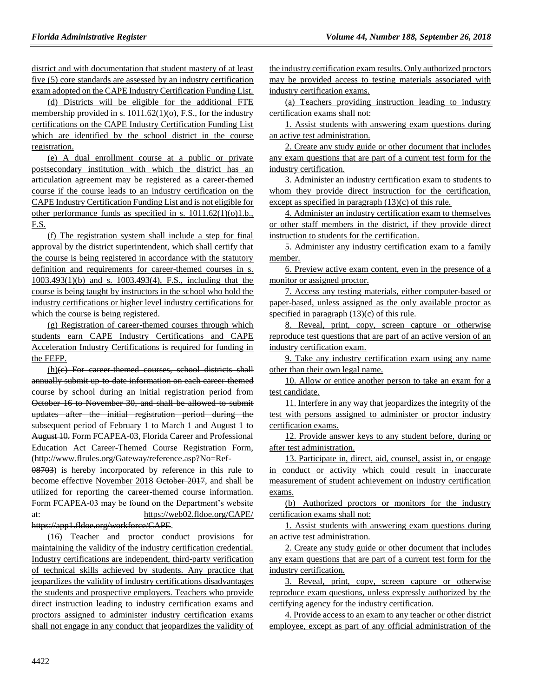district and with documentation that student mastery of at least five (5) core standards are assessed by an industry certification exam adopted on the CAPE Industry Certification Funding List.

(d) Districts will be eligible for the additional FTE membership provided in s. 1011.62(1)(o), F.S., for the industry certifications on the CAPE Industry Certification Funding List which are identified by the school district in the course registration.

(e) A dual enrollment course at a public or private postsecondary institution with which the district has an articulation agreement may be registered as a career-themed course if the course leads to an industry certification on the CAPE Industry Certification Funding List and is not eligible for other performance funds as specified in s.  $1011.62(1)(o)1.b.,$ F.S.

(f) The registration system shall include a step for final approval by the district superintendent, which shall certify that the course is being registered in accordance with the statutory definition and requirements for career-themed courses in s. 1003.493(1)(b) and s. 1003.493(4), F.S., including that the course is being taught by instructors in the school who hold the industry certifications or higher level industry certifications for which the course is being registered.

(g) Registration of career-themed courses through which students earn CAPE Industry Certifications and CAPE Acceleration Industry Certifications is required for funding in the FEFP.

(h)(c) For career-themed courses, school districts shall annually submit up-to-date information on each career-themed course by school during an initial registration period from October 16 to November 30, and shall be allowed to submit updates after the initial registration period during the subsequent period of February 1 to March 1 and August 1 to August 10. Form FCAPEA-03, Florida Career and Professional Education Act Career-Themed Course Registration Form, (http://www.flrules.org/Gateway/reference.asp?No=Ref-

08703) is hereby incorporated by reference in this rule to become effective November 2018 October 2017, and shall be utilized for reporting the career-themed course information. Form FCAPEA-03 may be found on the Department's website at: https://web02.fldoe.org/CAPE/ https://app1.fldoe.org/workforce/CAPE.

(16) Teacher and proctor conduct provisions for maintaining the validity of the industry certification credential. Industry certifications are independent, third-party verification of technical skills achieved by students. Any practice that jeopardizes the validity of industry certifications disadvantages the students and prospective employers. Teachers who provide direct instruction leading to industry certification exams and proctors assigned to administer industry certification exams shall not engage in any conduct that jeopardizes the validity of

the industry certification exam results. Only authorized proctors may be provided access to testing materials associated with industry certification exams.

(a) Teachers providing instruction leading to industry certification exams shall not:

1. Assist students with answering exam questions during an active test administration.

2. Create any study guide or other document that includes any exam questions that are part of a current test form for the industry certification.

3. Administer an industry certification exam to students to whom they provide direct instruction for the certification, except as specified in paragraph  $(13)(c)$  of this rule.

4. Administer an industry certification exam to themselves or other staff members in the district, if they provide direct instruction to students for the certification.

5. Administer any industry certification exam to a family member.

6. Preview active exam content, even in the presence of a monitor or assigned proctor.

7. Access any testing materials, either computer-based or paper-based, unless assigned as the only available proctor as specified in paragraph (13)(c) of this rule.

8. Reveal, print, copy, screen capture or otherwise reproduce test questions that are part of an active version of an industry certification exam.

9. Take any industry certification exam using any name other than their own legal name.

10. Allow or entice another person to take an exam for a test candidate.

11. Interfere in any way that jeopardizes the integrity of the test with persons assigned to administer or proctor industry certification exams.

12. Provide answer keys to any student before, during or after test administration.

13. Participate in, direct, aid, counsel, assist in, or engage in conduct or activity which could result in inaccurate measurement of student achievement on industry certification exams.

(b) Authorized proctors or monitors for the industry certification exams shall not:

1. Assist students with answering exam questions during an active test administration.

2. Create any study guide or other document that includes any exam questions that are part of a current test form for the industry certification.

3. Reveal, print, copy, screen capture or otherwise reproduce exam questions, unless expressly authorized by the certifying agency for the industry certification.

4. Provide access to an exam to any teacher or other district employee, except as part of any official administration of the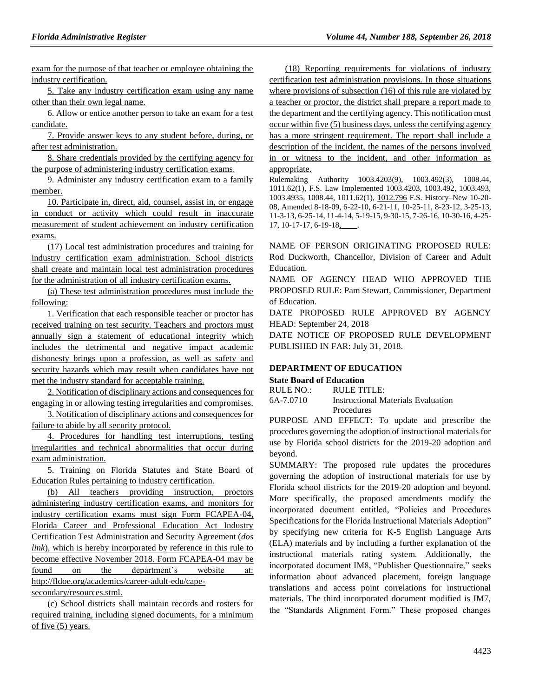exam for the purpose of that teacher or employee obtaining the industry certification.

5. Take any industry certification exam using any name other than their own legal name.

6. Allow or entice another person to take an exam for a test candidate.

7. Provide answer keys to any student before, during, or after test administration.

8. Share credentials provided by the certifying agency for the purpose of administering industry certification exams.

9. Administer any industry certification exam to a family member.

10. Participate in, direct, aid, counsel, assist in, or engage in conduct or activity which could result in inaccurate measurement of student achievement on industry certification exams.

(17) Local test administration procedures and training for industry certification exam administration. School districts shall create and maintain local test administration procedures for the administration of all industry certification exams.

(a) These test administration procedures must include the following:

1. Verification that each responsible teacher or proctor has received training on test security. Teachers and proctors must annually sign a statement of educational integrity which includes the detrimental and negative impact academic dishonesty brings upon a profession, as well as safety and security hazards which may result when candidates have not met the industry standard for acceptable training.

2. Notification of disciplinary actions and consequences for engaging in or allowing testing irregularities and compromises.

3. Notification of disciplinary actions and consequences for failure to abide by all security protocol.

4. Procedures for handling test interruptions, testing irregularities and technical abnormalities that occur during exam administration.

5. Training on Florida Statutes and State Board of Education Rules pertaining to industry certification.

(b) All teachers providing instruction, proctors administering industry certification exams, and monitors for industry certification exams must sign Form FCAPEA-04, Florida Career and Professional Education Act Industry Certification Test Administration and Security Agreement (*dos link*), which is hereby incorporated by reference in this rule to become effective November 2018. Form FCAPEA-04 may be found on the department's website at: http://fldoe.org/academics/career-adult-edu/capesecondary/resources.stml.

(c) School districts shall maintain records and rosters for required training, including signed documents, for a minimum of five (5) years.

(18) Reporting requirements for violations of industry certification test administration provisions. In those situations where provisions of subsection (16) of this rule are violated by a teacher or proctor, the district shall prepare a report made to the department and the certifying agency. This notification must occur within five (5) business days, unless the certifying agency has a more stringent requirement. The report shall include a description of the incident, the names of the persons involved in or witness to the incident, and other information as appropriate.

Rulemaking Authority 1003.4203(9), 1003.492(3), 1008.44, 1011.62(1), F.S. Law Implemented 1003.4203, 1003.492, 1003.493, 1003.4935, 1008.44, 1011.62(1), 1012.796 F.S. History–New 10-20- 08, Amended 8-18-09, 6-22-10, 6-21-11, 10-25-11, 8-23-12, 3-25-13, 11-3-13, 6-25-14, 11-4-14, 5-19-15, 9-30-15, 7-26-16, 10-30-16, 4-25- 17, 10-17-17, 6-19-18,

NAME OF PERSON ORIGINATING PROPOSED RULE: Rod Duckworth, Chancellor, Division of Career and Adult Education.

NAME OF AGENCY HEAD WHO APPROVED THE PROPOSED RULE: Pam Stewart, Commissioner, Department of Education.

DATE PROPOSED RULE APPROVED BY AGENCY HEAD: September 24, 2018

DATE NOTICE OF PROPOSED RULE DEVELOPMENT PUBLISHED IN FAR: July 31, 2018.

## **[DEPARTMENT OF EDUCATION](https://www.flrules.org/gateway/department.asp?id=6)**

## **[State Board of Education](https://www.flrules.org/gateway/organization.asp?id=195)**

RULE NO.: RULE TITLE:

[6A-7.0710](https://www.flrules.org/gateway/ruleNo.asp?id=6A-7.0710) Instructional Materials Evaluation Procedures

PURPOSE AND EFFECT: To update and prescribe the procedures governing the adoption of instructional materials for use by Florida school districts for the 2019-20 adoption and beyond.

SUMMARY: The proposed rule updates the procedures governing the adoption of instructional materials for use by Florida school districts for the 2019-20 adoption and beyond. More specifically, the proposed amendments modify the incorporated document entitled, "Policies and Procedures Specifications for the Florida Instructional Materials Adoption" by specifying new criteria for K-5 English Language Arts (ELA) materials and by including a further explanation of the instructional materials rating system. Additionally, the incorporated document IM8, "Publisher Questionnaire," seeks information about advanced placement, foreign language translations and access point correlations for instructional materials. The third incorporated document modified is IM7, the "Standards Alignment Form." These proposed changes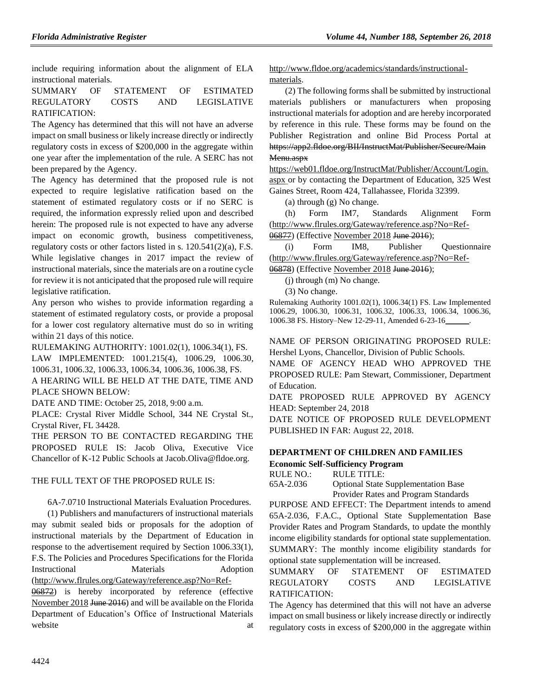include requiring information about the alignment of ELA instructional materials.

## SUMMARY OF STATEMENT OF ESTIMATED REGULATORY COSTS AND LEGISLATIVE RATIFICATION:

The Agency has determined that this will not have an adverse impact on small business or likely increase directly or indirectly regulatory costs in excess of \$200,000 in the aggregate within one year after the implementation of the rule. A SERC has not been prepared by the Agency.

The Agency has determined that the proposed rule is not expected to require legislative ratification based on the statement of estimated regulatory costs or if no SERC is required, the information expressly relied upon and described herein: The proposed rule is not expected to have any adverse impact on economic growth, business competitiveness, regulatory costs or other factors listed in s. 120.541(2)(a), F.S. While legislative changes in 2017 impact the review of instructional materials, since the materials are on a routine cycle for review it is not anticipated that the proposed rule will require legislative ratification.

Any person who wishes to provide information regarding a statement of estimated regulatory costs, or provide a proposal for a lower cost regulatory alternative must do so in writing within 21 days of this notice.

RULEMAKING AUTHORITY: [1001.02\(1\),](https://www.flrules.org/gateway/statute.asp?id=1001.02(1)) [1006.34\(1\),](https://www.flrules.org/gateway/statute.asp?id=%201006.34(1)) FS. LAW IMPLEMENTED: [1001.215\(4\),](https://www.flrules.org/gateway/statute.asp?id=1001.215(4)) [1006.29,](https://www.flrules.org/gateway/statute.asp?id=%201006.29) [1006.30,](https://www.flrules.org/gateway/statute.asp?id=%201006.30) [1006.31,](https://www.flrules.org/gateway/statute.asp?id=%201006.31) [1006.32,](https://www.flrules.org/gateway/statute.asp?id=%201006.32) [1006.33,](https://www.flrules.org/gateway/statute.asp?id=%201006.33) [1006.34,](https://www.flrules.org/gateway/statute.asp?id=%201006.34) [1006.36,](https://www.flrules.org/gateway/statute.asp?id=%201006.36) [1006.38,](https://www.flrules.org/gateway/statute.asp?id=%201006.38) FS. A HEARING WILL BE HELD AT THE DATE, TIME AND

PLACE SHOWN BELOW:

DATE AND TIME: October 25, 2018, 9:00 a.m.

PLACE: Crystal River Middle School, 344 NE Crystal St., Crystal River, FL 34428.

THE PERSON TO BE CONTACTED REGARDING THE PROPOSED RULE IS: Jacob Oliva, Executive Vice Chancellor of K-12 Public Schools at Jacob.Oliva@fldoe.org.

#### THE FULL TEXT OF THE PROPOSED RULE IS:

6A-7.0710 Instructional Materials Evaluation Procedures.

(1) Publishers and manufacturers of instructional materials may submit sealed bids or proposals for the adoption of instructional materials by the Department of Education in response to the advertisement required by Section 1006.33(1), F.S. The Policies and Procedures Specifications for the Florida Instructional Materials Adoption (http://www.flrules.org/Gateway/reference.asp?No=Ref-

06872) is hereby incorporated by reference (effective November 2018 June 2016) and will be available on the Florida Department of Education's Office of Instructional Materials website at a state at  $\alpha$  at  $\alpha$ 

http://www.fldoe.org/academics/standards/instructionalmaterials.

(2) The following forms shall be submitted by instructional materials publishers or manufacturers when proposing instructional materials for adoption and are hereby incorporated by reference in this rule. These forms may be found on the Publisher Registration and online Bid Process Portal at https://app2.fldoe.org/BII/InstructMat/Publisher/Secure/Main Menu.aspx

https://web01.fldoe.org/InstructMat/Publisher/Account/Login. aspx or by contacting the Department of Education, 325 West Gaines Street, Room 424, Tallahassee, Florida 32399.

(a) through (g) No change.

(h) Form IM7, Standards Alignment Form (http://www.flrules.org/Gateway/reference.asp?No=Ref-

06877) (Effective November 2018 June 2016);

(i) Form IM8, Publisher Questionnaire (http://www.flrules.org/Gateway/reference.asp?No=Ref-

06878) (Effective November 2018 June 2016);

(j) through (m) No change.

(3) No change.

Rulemaking Authority 1001.02(1), 1006.34(1) FS. Law Implemented 1006.29, 1006.30, 1006.31, 1006.32, 1006.33, 1006.34, 1006.36, 1006.38 FS. History–New 12-29-11, Amended 6-23-16\_\_\_\_\_\_.

NAME OF PERSON ORIGINATING PROPOSED RULE: Hershel Lyons, Chancellor, Division of Public Schools.

NAME OF AGENCY HEAD WHO APPROVED THE PROPOSED RULE: Pam Stewart, Commissioner, Department of Education.

DATE PROPOSED RULE APPROVED BY AGENCY HEAD: September 24, 2018

DATE NOTICE OF PROPOSED RULE DEVELOPMENT PUBLISHED IN FAR: August 22, 2018.

## **[DEPARTMENT OF CHILDREN AND FAMILIES](https://www.flrules.org/gateway/department.asp?id=65)**

**[Economic Self-Sufficiency Program](https://www.flrules.org/gateway/organization.asp?id=340)**

RULE NO.: RULE TITLE:

[65A-2.036](https://www.flrules.org/gateway/ruleNo.asp?id=65A-2.036) Optional State Supplementation Base Provider Rates and Program Standards

PURPOSE AND EFFECT: The Department intends to amend 65A-2.036, F.A.C., Optional State Supplementation Base Provider Rates and Program Standards, to update the monthly income eligibility standards for optional state supplementation. SUMMARY: The monthly income eligibility standards for optional state supplementation will be increased.

SUMMARY OF STATEMENT OF ESTIMATED REGULATORY COSTS AND LEGISLATIVE RATIFICATION:

The Agency has determined that this will not have an adverse impact on small business or likely increase directly or indirectly regulatory costs in excess of \$200,000 in the aggregate within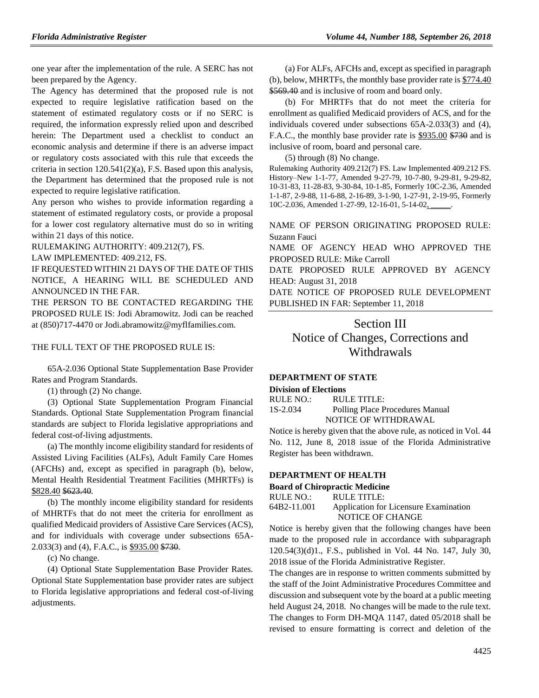one year after the implementation of the rule. A SERC has not been prepared by the Agency.

The Agency has determined that the proposed rule is not expected to require legislative ratification based on the statement of estimated regulatory costs or if no SERC is required, the information expressly relied upon and described herein: The Department used a checklist to conduct an economic analysis and determine if there is an adverse impact or regulatory costs associated with this rule that exceeds the criteria in section 120.541(2)(a), F.S. Based upon this analysis, the Department has determined that the proposed rule is not expected to require legislative ratification.

Any person who wishes to provide information regarding a statement of estimated regulatory costs, or provide a proposal for a lower cost regulatory alternative must do so in writing within 21 days of this notice.

RULEMAKING AUTHORITY: [409.212\(7\),](https://www.flrules.org/gateway/statute.asp?id=409.212(7)) FS.

LAW IMPLEMENTED: [409.212,](https://www.flrules.org/gateway/statute.asp?id=409.212) FS.

IF REQUESTED WITHIN 21 DAYS OF THE DATE OF THIS NOTICE, A HEARING WILL BE SCHEDULED AND ANNOUNCED IN THE FAR.

THE PERSON TO BE CONTACTED REGARDING THE PROPOSED RULE IS: Jodi Abramowitz. Jodi can be reached at (850)717-4470 or Jodi.abramowitz@myflfamilies.com.

#### THE FULL TEXT OF THE PROPOSED RULE IS:

65A-2.036 Optional State Supplementation Base Provider Rates and Program Standards.

(1) through (2) No change.

(3) Optional State Supplementation Program Financial Standards. Optional State Supplementation Program financial standards are subject to Florida legislative appropriations and federal cost-of-living adjustments.

(a) The monthly income eligibility standard for residents of Assisted Living Facilities (ALFs), Adult Family Care Homes (AFCHs) and, except as specified in paragraph (b), below, Mental Health Residential Treatment Facilities (MHRTFs) is \$828.40 \$623.40.

(b) The monthly income eligibility standard for residents of MHRTFs that do not meet the criteria for enrollment as qualified Medicaid providers of Assistive Care Services (ACS), and for individuals with coverage under subsections 65A-2.033(3) and (4), F.A.C., is \$935.00 \$730.

(c) No change.

(4) Optional State Supplementation Base Provider Rates. Optional State Supplementation base provider rates are subject to Florida legislative appropriations and federal cost-of-living adjustments.

(a) For ALFs, AFCHs and, except as specified in paragraph (b), below, MHRTFs, the monthly base provider rate is \$774.40 \$569.40 and is inclusive of room and board only.

(b) For MHRTFs that do not meet the criteria for enrollment as qualified Medicaid providers of ACS, and for the individuals covered under subsections 65A-2.033(3) and (4), F.A.C., the monthly base provider rate is \$935.00 \$730 and is inclusive of room, board and personal care.

(5) through (8) No change.

Rulemaking Authority 409.212(7) FS. Law Implemented 409.212 FS. History–New 1-1-77, Amended 9-27-79, 10-7-80, 9-29-81, 9-29-82, 10-31-83, 11-28-83, 9-30-84, 10-1-85, Formerly 10C-2.36, Amended 1-1-87, 2-9-88, 11-6-88, 2-16-89, 3-1-90, 1-27-91, 2-19-95, Formerly 10C-2.036, Amended 1-27-99, 12-16-01, 5-14-02,

NAME OF PERSON ORIGINATING PROPOSED RULE: Suzann Fauci

NAME OF AGENCY HEAD WHO APPROVED THE PROPOSED RULE: Mike Carroll

DATE PROPOSED RULE APPROVED BY AGENCY HEAD: August 31, 2018

DATE NOTICE OF PROPOSED RULE DEVELOPMENT PUBLISHED IN FAR: September 11, 2018

Section III Notice of Changes, Corrections and Withdrawals

## **[DEPARTMENT OF STATE](https://www.flrules.org/gateway/department.asp?id=1)**

**[Division of Elections](https://www.flrules.org/gateway/organization.asp?id=16)**

RULE NO.: RULE TITLE: [1S-2.034](https://www.flrules.org/gateway/ruleNo.asp?id=1S-2.034) Polling Place Procedures Manual NOTICE OF WITHDRAWAL

Notice is hereby given that the above rule, as noticed in Vol. 44 No. 112, June 8, 2018 issue of the Florida Administrative Register has been withdrawn.

#### **[DEPARTMENT OF HEALTH](https://www.flrules.org/gateway/department.asp?id=64)**

**[Board of Chiropractic Medicine](https://www.flrules.org/gateway/organization.asp?id=311)**

| RULE NO.:   | RULE TITLE:                           |
|-------------|---------------------------------------|
| 64B2-11.001 | Application for Licensure Examination |
|             | NOTICE OF CHANGE                      |

Notice is hereby given that the following changes have been made to the proposed rule in accordance with subparagraph 120.54(3)(d)1., F.S., published in Vol. 44 No. 147, July 30, 2018 issue of the Florida Administrative Register.

The changes are in response to written comments submitted by the staff of the Joint Administrative Procedures Committee and discussion and subsequent vote by the board at a public meeting held August 24, 2018. No changes will be made to the rule text. The changes to Form DH-MQA 1147, dated 05/2018 shall be revised to ensure formatting is correct and deletion of the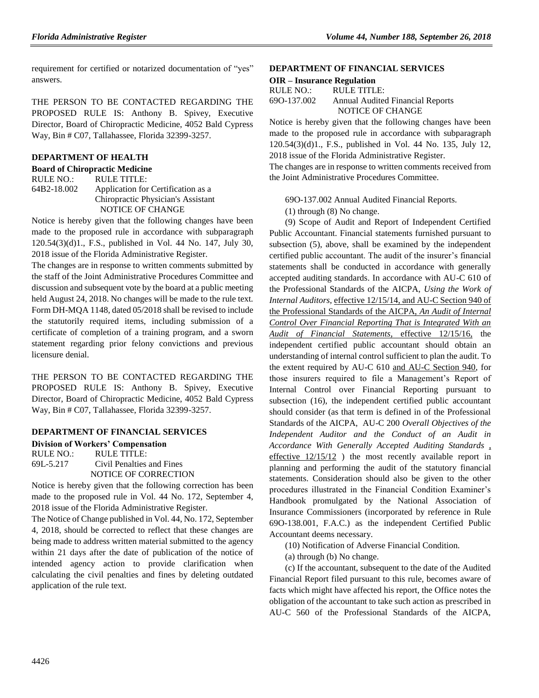requirement for certified or notarized documentation of "yes" answers.

THE PERSON TO BE CONTACTED REGARDING THE PROPOSED RULE IS: Anthony B. Spivey, Executive Director, Board of Chiropractic Medicine, 4052 Bald Cypress Way, Bin # C07, Tallahassee, Florida 32399-3257.

### **[DEPARTMENT OF HEALTH](https://www.flrules.org/gateway/department.asp?id=64)**

## **[Board of Chiropractic Medicine](https://www.flrules.org/gateway/organization.asp?id=311)**

| RULE NO.:   | RULE TITLE:                        |
|-------------|------------------------------------|
| 64B2-18.002 | Application for Certification as a |
|             | Chiropractic Physician's Assistant |
|             | NOTICE OF CHANGE                   |

Notice is hereby given that the following changes have been made to the proposed rule in accordance with subparagraph 120.54(3)(d)1., F.S., published in Vol. 44 No. 147, July 30, 2018 issue of the Florida Administrative Register.

The changes are in response to written comments submitted by the staff of the Joint Administrative Procedures Committee and discussion and subsequent vote by the board at a public meeting held August 24, 2018. No changes will be made to the rule text. Form DH-MQA 1148, dated 05/2018 shall be revised to include the statutorily required items, including submission of a certificate of completion of a training program, and a sworn statement regarding prior felony convictions and previous licensure denial.

THE PERSON TO BE CONTACTED REGARDING THE PROPOSED RULE IS: Anthony B. Spivey, Executive Director, Board of Chiropractic Medicine, 4052 Bald Cypress Way, Bin # C07, Tallahassee, Florida 32399-3257.

## **[DEPARTMENT OF FINANCIAL SERVICES](https://www.flrules.org/gateway/department.asp?id=69)**

**[Division of Workers' Compensation](https://www.flrules.org/gateway/organization.asp?id=370)** RULE NO.: RULE TITLE: [69L-5.217](https://www.flrules.org/gateway/ruleNo.asp?id=69L-5.217) Civil Penalties and Fines NOTICE OF CORRECTION

Notice is hereby given that the following correction has been made to the proposed rule in Vol. 44 No. 172, September 4, 2018 issue of the Florida Administrative Register.

The Notice of Change published in Vol. 44, No. 172, September 4, 2018, should be corrected to reflect that these changes are being made to address written material submitted to the agency within 21 days after the date of publication of the notice of intended agency action to provide clarification when calculating the civil penalties and fines by deleting outdated application of the rule text.

#### **[DEPARTMENT OF FINANCIAL SERVICES](https://www.flrules.org/gateway/department.asp?id=69)**

| <b>OIR</b> – Insurance Regulation |                                         |  |  |
|-----------------------------------|-----------------------------------------|--|--|
| RULE NO.:                         | RULE TITLE:                             |  |  |
| 690-137.002                       | <b>Annual Audited Financial Reports</b> |  |  |
|                                   | NOTICE OF CHANGE                        |  |  |

Notice is hereby given that the following changes have been made to the proposed rule in accordance with subparagraph 120.54(3)(d)1., F.S., published in Vol. 44 No. 135, July 12, 2018 issue of the Florida Administrative Register.

The changes are in response to written comments received from the Joint Administrative Procedures Committee.

69O-137.002 Annual Audited Financial Reports.

(1) through (8) No change.

(9) Scope of Audit and Report of Independent Certified Public Accountant. Financial statements furnished pursuant to subsection (5), above, shall be examined by the independent certified public accountant. The audit of the insurer's financial statements shall be conducted in accordance with generally accepted auditing standards. In accordance with AU-C 610 of the Professional Standards of the AICPA, *Using the Work of Internal Auditors,* effective 12/15/14, and AU-C Section 940 of the Professional Standards of the AICPA, *An Audit of Internal Control Over Financial Reporting That is Integrated With an Audit of Financial Statements,* effective 12/15/16, the independent certified public accountant should obtain an understanding of internal control sufficient to plan the audit. To the extent required by AU-C 610 and AU-C Section 940, for those insurers required to file a Management's Report of Internal Control over Financial Reporting pursuant to subsection (16), the independent certified public accountant should consider (as that term is defined in of the Professional Standards of the AICPA, AU-C 200 *Overall Objectives of the Independent Auditor and the Conduct of an Audit in Accordance With Generally Accepted Auditing Standards ,* effective 12/15/12 ) the most recently available report in planning and performing the audit of the statutory financial statements. Consideration should also be given to the other procedures illustrated in the Financial Condition Examiner's Handbook promulgated by the National Association of Insurance Commissioners (incorporated by reference in Rule 69O-138.001, F.A.C.) as the independent Certified Public Accountant deems necessary.

(10) Notification of Adverse Financial Condition.

(a) through (b) No change.

(c) If the accountant, subsequent to the date of the Audited Financial Report filed pursuant to this rule, becomes aware of facts which might have affected his report, the Office notes the obligation of the accountant to take such action as prescribed in AU-C 560 of the Professional Standards of the AICPA,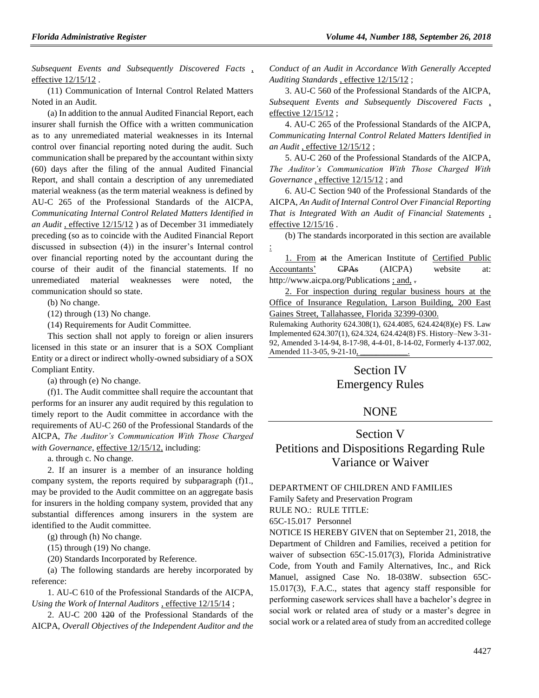*Subsequent Events and Subsequently Discovered Facts ,* effective 12/15/12 .

(11) Communication of Internal Control Related Matters Noted in an Audit.

(a) In addition to the annual Audited Financial Report, each insurer shall furnish the Office with a written communication as to any unremediated material weaknesses in its Internal control over financial reporting noted during the audit. Such communication shall be prepared by the accountant within sixty (60) days after the filing of the annual Audited Financial Report, and shall contain a description of any unremediated material weakness (as the term material weakness is defined by AU-C 265 of the Professional Standards of the AICPA, *Communicating Internal Control Related Matters Identified in an Audit ,* effective 12/15/12 ) as of December 31 immediately preceding (so as to coincide with the Audited Financial Report discussed in subsection (4)) in the insurer's Internal control over financial reporting noted by the accountant during the course of their audit of the financial statements. If no unremediated material weaknesses were noted, the communication should so state.

(b) No change.

(12) through (13) No change.

(14) Requirements for Audit Committee.

This section shall not apply to foreign or alien insurers licensed in this state or an insurer that is a SOX Compliant Entity or a direct or indirect wholly-owned subsidiary of a SOX Compliant Entity.

(a) through (e) No change.

(f)1. The Audit committee shall require the accountant that performs for an insurer any audit required by this regulation to timely report to the Audit committee in accordance with the requirements of AU-C 260 of the Professional Standards of the AICPA, *The Auditor's Communication With Those Charged with Governance*, effective 12/15/12, including:

a. through c. No change.

2. If an insurer is a member of an insurance holding company system, the reports required by subparagraph (f)1., may be provided to the Audit committee on an aggregate basis for insurers in the holding company system, provided that any substantial differences among insurers in the system are identified to the Audit committee.

(g) through (h) No change.

(15) through (19) No change.

(20) Standards Incorporated by Reference.

(a) The following standards are hereby incorporated by reference:

1. AU-C 610 of the Professional Standards of the AICPA, *Using the Work of Internal Auditors* , effective 12/15/14 ;

2. AU-C 200 120 of the Professional Standards of the AICPA, *Overall Objectives of the Independent Auditor and the*  *Conduct of an Audit in Accordance With Generally Accepted Auditing Standards* , effective 12/15/12 ;

3. AU-C 560 of the Professional Standards of the AICPA, *Subsequent Events and Subsequently Discovered Facts* , effective  $12/15/12$ ;

4. AU-C 265 of the Professional Standards of the AICPA, *Communicating Internal Control Related Matters Identified in an Audit* , effective 12/15/12 ;

5. AU-C 260 of the Professional Standards of the AICPA, *The Auditor's Communication With Those Charged With Governance* , effective 12/15/12 ; and

6. AU-C Section 940 of the Professional Standards of the AICPA, *An Audit of Internal Control Over Financial Reporting That is Integrated With an Audit of Financial Statements* , effective 12/15/16 .

(b) The standards incorporated in this section are available :

1. From at the American Institute of Certified Public Accountants' CPAs (AICPA) website at: http://www.aicpa.org/Publications ; and, .

2. For inspection during regular business hours at the Office of Insurance Regulation, Larson Building, 200 East Gaines Street, Tallahassee, Florida 32399-0300.

Rulemaking Authority 624.308(1), 624.4085, 624.424(8)(e) FS. Law Implemented 624.307(1), 624.324, 624.424(8) FS. History–New 3-31- 92, Amended 3-14-94, 8-17-98, 4-4-01, 8-14-02, Formerly 4-137.002, Amended 11-3-05, 9-21-10,

## Section IV Emergency Rules

## **NONE**

# Section V Petitions and Dispositions Regarding Rule Variance or Waiver

[DEPARTMENT OF CHILDREN AND FAMILIES](https://www.flrules.org/gateway/department.asp?id=65) [Family Safety and Preservation Program](https://www.flrules.org/gateway/organization.asp?id=342) RULE NO.: RULE TITLE: [65C-15.017](https://www.flrules.org/gateway/ruleNo.asp?id=65C-15.017) Personnel

NOTICE IS HEREBY GIVEN that on September 21, 2018, the Department of Children and Families, received a petition for waiver of subsection 65C-15.017(3), Florida Administrative Code, from Youth and Family Alternatives, Inc., and Rick Manuel, assigned Case No. 18-038W. subsection 65C-15.017(3), F.A.C., states that agency staff responsible for performing casework services shall have a bachelor's degree in social work or related area of study or a master's degree in social work or a related area of study from an accredited college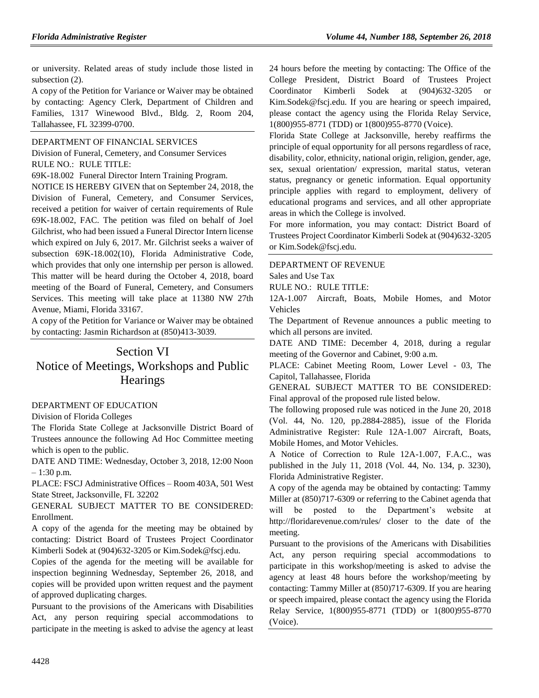or university. Related areas of study include those listed in subsection (2).

A copy of the Petition for Variance or Waiver may be obtained by contacting: Agency Clerk, Department of Children and Families, 1317 Winewood Blvd., Bldg. 2, Room 204, Tallahassee, FL 32399-0700.

#### [DEPARTMENT OF FINANCIAL SERVICES](https://www.flrules.org/gateway/department.asp?id=69)

[Division of Funeral, Cemetery, and Consumer Services](https://www.flrules.org/gateway/organization.asp?id=369) RULE NO.: RULE TITLE:

[69K-18.002](https://www.flrules.org/gateway/ruleNo.asp?id=69K-18.002) Funeral Director Intern Training Program.

NOTICE IS HEREBY GIVEN that on September 24, 2018, the Division of Funeral, Cemetery, and Consumer Services, received a petition for waiver of certain requirements of Rule 69K-18.002, FAC. The petition was filed on behalf of Joel Gilchrist, who had been issued a Funeral Director Intern license which expired on July 6, 2017. Mr. Gilchrist seeks a waiver of subsection 69K-18.002(10), Florida Administrative Code, which provides that only one internship per person is allowed. This matter will be heard during the October 4, 2018, board meeting of the Board of Funeral, Cemetery, and Consumers Services. This meeting will take place at 11380 NW 27th Avenue, Miami, Florida 33167.

A copy of the Petition for Variance or Waiver may be obtained by contacting: Jasmin Richardson at (850)413-3039.

# Section VI Notice of Meetings, Workshops and Public **Hearings**

#### [DEPARTMENT OF EDUCATION](https://www.flrules.org/gateway/department.asp?id=6)

[Division of Florida Colleges](https://www.flrules.org/gateway/organization.asp?id=212)

The Florida State College at Jacksonville District Board of Trustees announce the following Ad Hoc Committee meeting which is open to the public.

DATE AND TIME: Wednesday, October 3, 2018, 12:00 Noon – 1:30 p.m.

PLACE: FSCJ Administrative Offices – Room 403A, 501 West State Street, Jacksonville, FL 32202

GENERAL SUBJECT MATTER TO BE CONSIDERED: Enrollment.

A copy of the agenda for the meeting may be obtained by contacting: District Board of Trustees Project Coordinator Kimberli Sodek at (904)632-3205 or Kim.Sodek@fscj.edu.

Copies of the agenda for the meeting will be available for inspection beginning Wednesday, September 26, 2018, and copies will be provided upon written request and the payment of approved duplicating charges.

Pursuant to the provisions of the Americans with Disabilities Act, any person requiring special accommodations to participate in the meeting is asked to advise the agency at least 24 hours before the meeting by contacting: The Office of the College President, District Board of Trustees Project Coordinator Kimberli Sodek at (904)632-3205 or Kim.Sodek@fscj.edu. If you are hearing or speech impaired, please contact the agency using the Florida Relay Service, 1(800)955-8771 (TDD) or 1(800)955-8770 (Voice).

Florida State College at Jacksonville, hereby reaffirms the principle of equal opportunity for all persons regardless of race, disability, color, ethnicity, national origin, religion, gender, age, sex, sexual orientation/ expression, marital status, veteran status, pregnancy or genetic information. Equal opportunity principle applies with regard to employment, delivery of educational programs and services, and all other appropriate areas in which the College is involved.

For more information, you may contact: District Board of Trustees Project Coordinator Kimberli Sodek at (904)632-3205 or Kim.Sodek@fscj.edu.

[DEPARTMENT OF REVENUE](https://www.flrules.org/gateway/department.asp?id=12)

[Sales and Use Tax](https://www.flrules.org/gateway/organization.asp?id=33)

RULE NO.: RULE TITLE:

[12A-1.007](https://www.flrules.org/gateway/ruleNo.asp?id=12A-1.007) Aircraft, Boats, Mobile Homes, and Motor Vehicles

The Department of Revenue announces a public meeting to which all persons are invited.

DATE AND TIME: December 4, 2018, during a regular meeting of the Governor and Cabinet, 9:00 a.m.

PLACE: Cabinet Meeting Room, Lower Level - 03, The Capitol, Tallahassee, Florida

GENERAL SUBJECT MATTER TO BE CONSIDERED: Final approval of the proposed rule listed below.

The following proposed rule was noticed in the June 20, 2018 (Vol. 44, No. 120, pp.2884-2885), issue of the Florida Administrative Register: Rule 12A-1.007 Aircraft, Boats, Mobile Homes, and Motor Vehicles.

A Notice of Correction to Rule 12A-1.007, F.A.C., was published in the July 11, 2018 (Vol. 44, No. 134, p. 3230), Florida Administrative Register.

A copy of the agenda may be obtained by contacting: Tammy Miller at (850)717-6309 or referring to the Cabinet agenda that will be posted to the Department's website at http://floridarevenue.com/rules/ closer to the date of the meeting.

Pursuant to the provisions of the Americans with Disabilities Act, any person requiring special accommodations to participate in this workshop/meeting is asked to advise the agency at least 48 hours before the workshop/meeting by contacting: Tammy Miller at (850)717-6309. If you are hearing or speech impaired, please contact the agency using the Florida Relay Service, 1(800)955-8771 (TDD) or 1(800)955-8770 (Voice).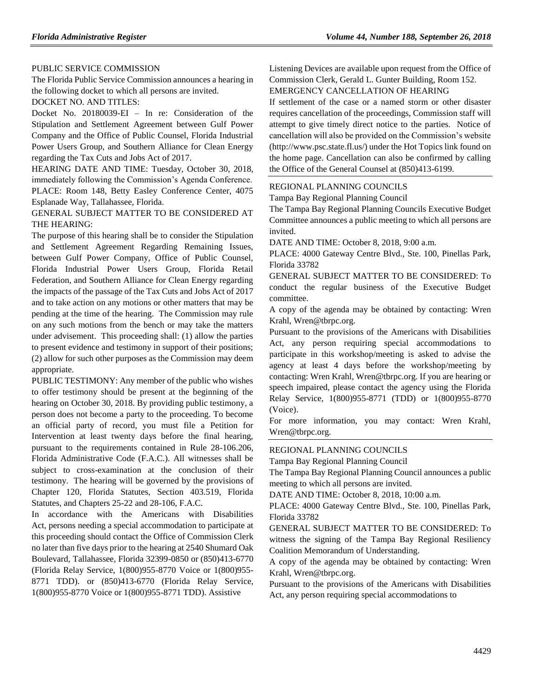#### PUBLIC SERVICE COMMISSION

The Florida Public Service Commission announces a hearing in the following docket to which all persons are invited.

DOCKET NO. AND TITLES:

Docket No. 20180039-EI – In re: Consideration of the Stipulation and Settlement Agreement between Gulf Power Company and the Office of Public Counsel, Florida Industrial Power Users Group, and Southern Alliance for Clean Energy regarding the Tax Cuts and Jobs Act of 2017.

HEARING DATE AND TIME: Tuesday, October 30, 2018, immediately following the Commission's Agenda Conference. PLACE: Room 148, Betty Easley Conference Center, 4075 Esplanade Way, Tallahassee, Florida.

GENERAL SUBJECT MATTER TO BE CONSIDERED AT THE HEARING:

The purpose of this hearing shall be to consider the Stipulation and Settlement Agreement Regarding Remaining Issues, between Gulf Power Company, Office of Public Counsel, Florida Industrial Power Users Group, Florida Retail Federation, and Southern Alliance for Clean Energy regarding the impacts of the passage of the Tax Cuts and Jobs Act of 2017 and to take action on any motions or other matters that may be pending at the time of the hearing. The Commission may rule on any such motions from the bench or may take the matters under advisement. This proceeding shall: (1) allow the parties to present evidence and testimony in support of their positions; (2) allow for such other purposes as the Commission may deem appropriate.

PUBLIC TESTIMONY: Any member of the public who wishes to offer testimony should be present at the beginning of the hearing on October 30, 2018. By providing public testimony, a person does not become a party to the proceeding. To become an official party of record, you must file a Petition for Intervention at least twenty days before the final hearing, pursuant to the requirements contained in Rule 28-106.206, Florida Administrative Code (F.A.C.). All witnesses shall be subject to cross-examination at the conclusion of their testimony. The hearing will be governed by the provisions of Chapter 120, Florida Statutes, Section 403.519, Florida Statutes, and Chapters 25-22 and 28-106, F.A.C.

In accordance with the Americans with Disabilities Act, persons needing a special accommodation to participate at this proceeding should contact the Office of Commission Clerk no later than five days prior to the hearing at 2540 Shumard Oak Boulevard, Tallahassee, Florida 32399-0850 or (850)413-6770 (Florida Relay Service, 1(800)955-8770 Voice or 1(800)955- 8771 TDD). or (850)413-6770 (Florida Relay Service, 1(800)955-8770 Voice or 1(800)955-8771 TDD). Assistive

Listening Devices are available upon request from the Office of Commission Clerk, Gerald L. Gunter Building, Room 152. EMERGENCY CANCELLATION OF HEARING

If settlement of the case or a named storm or other disaster requires cancellation of the proceedings, Commission staff will attempt to give timely direct notice to the parties. Notice of cancellation will also be provided on the Commission's website (http://www.psc.state.fl.us/) under the Hot Topics link found on the home page. Cancellation can also be confirmed by calling the Office of the General Counsel at (850)413-6199.

#### [REGIONAL PLANNING COUNCILS](https://www.flrules.org/gateway/department.asp?id=29)

[Tampa Bay Regional Planning Council](https://www.flrules.org/gateway/organization.asp?id=64)

The Tampa Bay Regional Planning Councils Executive Budget Committee announces a public meeting to which all persons are invited.

DATE AND TIME: October 8, 2018, 9:00 a.m.

PLACE: 4000 Gateway Centre Blvd., Ste. 100, Pinellas Park, Florida 33782

GENERAL SUBJECT MATTER TO BE CONSIDERED: To conduct the regular business of the Executive Budget committee.

A copy of the agenda may be obtained by contacting: Wren Krahl, Wren@tbrpc.org.

Pursuant to the provisions of the Americans with Disabilities Act, any person requiring special accommodations to participate in this workshop/meeting is asked to advise the agency at least 4 days before the workshop/meeting by contacting: Wren Krahl, Wren@tbrpc.org. If you are hearing or speech impaired, please contact the agency using the Florida Relay Service, 1(800)955-8771 (TDD) or 1(800)955-8770 (Voice).

For more information, you may contact: Wren Krahl, Wren@tbrpc.org.

#### [REGIONAL PLANNING COUNCILS](https://www.flrules.org/gateway/department.asp?id=29)

[Tampa Bay Regional Planning Council](https://www.flrules.org/gateway/organization.asp?id=64)

The Tampa Bay Regional Planning Council announces a public meeting to which all persons are invited.

DATE AND TIME: October 8, 2018, 10:00 a.m.

PLACE: 4000 Gateway Centre Blvd., Ste. 100, Pinellas Park, Florida 33782

GENERAL SUBJECT MATTER TO BE CONSIDERED: To witness the signing of the Tampa Bay Regional Resiliency Coalition Memorandum of Understanding.

A copy of the agenda may be obtained by contacting: Wren Krahl, Wren@tbrpc.org.

Pursuant to the provisions of the Americans with Disabilities Act, any person requiring special accommodations to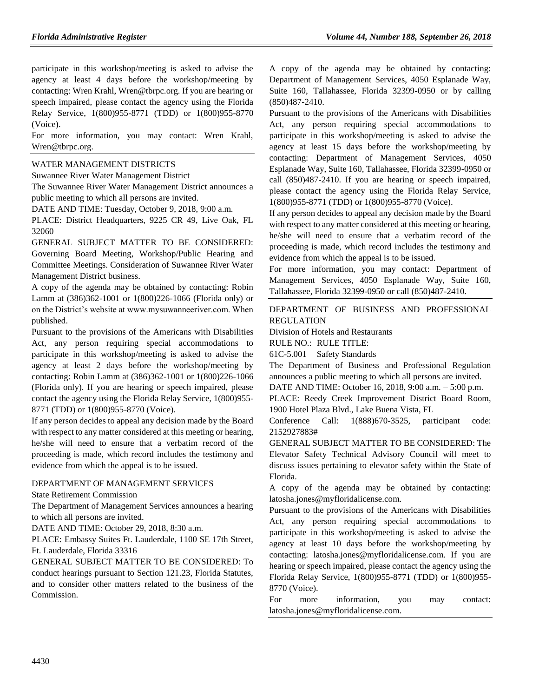participate in this workshop/meeting is asked to advise the agency at least 4 days before the workshop/meeting by contacting: Wren Krahl, Wren@tbrpc.org. If you are hearing or speech impaired, please contact the agency using the Florida Relay Service, 1(800)955-8771 (TDD) or 1(800)955-8770 (Voice).

For more information, you may contact: Wren Krahl, Wren@tbrpc.org.

#### [WATER MANAGEMENT DISTRICTS](https://www.flrules.org/gateway/department.asp?id=40)

[Suwannee River Water Management District](https://www.flrules.org/gateway/organization.asp?id=121)

The Suwannee River Water Management District announces a public meeting to which all persons are invited.

DATE AND TIME: Tuesday, October 9, 2018, 9:00 a.m.

PLACE: District Headquarters, 9225 CR 49, Live Oak, FL 32060

GENERAL SUBJECT MATTER TO BE CONSIDERED: Governing Board Meeting, Workshop/Public Hearing and Committee Meetings. Consideration of Suwannee River Water Management District business.

A copy of the agenda may be obtained by contacting: Robin Lamm at (386)362-1001 or 1(800)226-1066 (Florida only) or on the District's website at www.mysuwanneeriver.com. When published.

Pursuant to the provisions of the Americans with Disabilities Act, any person requiring special accommodations to participate in this workshop/meeting is asked to advise the agency at least 2 days before the workshop/meeting by contacting: Robin Lamm at (386)362-1001 or 1(800)226-1066 (Florida only). If you are hearing or speech impaired, please contact the agency using the Florida Relay Service, 1(800)955- 8771 (TDD) or 1(800)955-8770 (Voice).

If any person decides to appeal any decision made by the Board with respect to any matter considered at this meeting or hearing, he/she will need to ensure that a verbatim record of the proceeding is made, which record includes the testimony and evidence from which the appeal is to be issued.

#### [DEPARTMENT OF MANAGEMENT SERVICES](https://www.flrules.org/gateway/department.asp?id=60)

[State Retirement Commission](https://www.flrules.org/gateway/organization.asp?id=238)

The Department of Management Services announces a hearing to which all persons are invited.

DATE AND TIME: October 29, 2018, 8:30 a.m.

PLACE: Embassy Suites Ft. Lauderdale, 1100 SE 17th Street, Ft. Lauderdale, Florida 33316

GENERAL SUBJECT MATTER TO BE CONSIDERED: To conduct hearings pursuant to Section 121.23, Florida Statutes, and to consider other matters related to the business of the Commission.

A copy of the agenda may be obtained by contacting: Department of Management Services, 4050 Esplanade Way, Suite 160, Tallahassee, Florida 32399-0950 or by calling (850)487-2410.

Pursuant to the provisions of the Americans with Disabilities Act, any person requiring special accommodations to participate in this workshop/meeting is asked to advise the agency at least 15 days before the workshop/meeting by contacting: Department of Management Services, 4050 Esplanade Way, Suite 160, Tallahassee, Florida 32399-0950 or call (850)487-2410. If you are hearing or speech impaired, please contact the agency using the Florida Relay Service, 1(800)955-8771 (TDD) or 1(800)955-8770 (Voice).

If any person decides to appeal any decision made by the Board with respect to any matter considered at this meeting or hearing, he/she will need to ensure that a verbatim record of the proceeding is made, which record includes the testimony and evidence from which the appeal is to be issued.

For more information, you may contact: Department of Management Services, 4050 Esplanade Way, Suite 160, Tallahassee, Florida 32399-0950 or call (850)487-2410.

[DEPARTMENT OF BUSINESS AND PROFESSIONAL](https://www.flrules.org/gateway/department.asp?id=61)  [REGULATION](https://www.flrules.org/gateway/department.asp?id=61)

[Division of Hotels and Restaurants](https://www.flrules.org/gateway/organization.asp?id=249)

RULE NO.: RULE TITLE:

[61C-5.001](https://www.flrules.org/gateway/ruleNo.asp?id=61C-5.001) Safety Standards

The Department of Business and Professional Regulation announces a public meeting to which all persons are invited.

DATE AND TIME: October 16, 2018, 9:00 a.m. – 5:00 p.m.

PLACE: Reedy Creek Improvement District Board Room, 1900 Hotel Plaza Blvd., Lake Buena Vista, FL

Conference Call: 1(888)670-3525, participant code: 2152927883#

GENERAL SUBJECT MATTER TO BE CONSIDERED: The Elevator Safety Technical Advisory Council will meet to discuss issues pertaining to elevator safety within the State of Florida.

A copy of the agenda may be obtained by contacting: latosha.jones@myfloridalicense.com.

Pursuant to the provisions of the Americans with Disabilities Act, any person requiring special accommodations to participate in this workshop/meeting is asked to advise the agency at least 10 days before the workshop/meeting by contacting: latosha.jones@myfloridalicense.com. If you are hearing or speech impaired, please contact the agency using the Florida Relay Service, 1(800)955-8771 (TDD) or 1(800)955- 8770 (Voice).

For more information, you may contact: latosha.jones@myfloridalicense.com.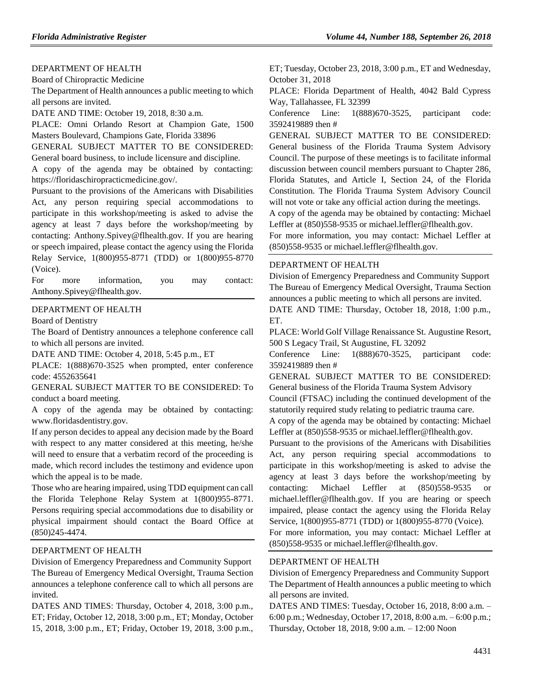#### [DEPARTMENT OF HEALTH](https://www.flrules.org/gateway/department.asp?id=64)

[Board of Chiropractic Medicine](https://www.flrules.org/gateway/organization.asp?id=311)

The Department of Health announces a public meeting to which all persons are invited.

DATE AND TIME: October 19, 2018, 8:30 a.m.

PLACE: Omni Orlando Resort at Champion Gate, 1500 Masters Boulevard, Champions Gate, Florida 33896

GENERAL SUBJECT MATTER TO BE CONSIDERED: General board business, to include licensure and discipline.

A copy of the agenda may be obtained by contacting: https://floridaschiropracticmedicine.gov/.

Pursuant to the provisions of the Americans with Disabilities Act, any person requiring special accommodations to participate in this workshop/meeting is asked to advise the agency at least 7 days before the workshop/meeting by contacting: Anthony.Spivey@flhealth.gov. If you are hearing or speech impaired, please contact the agency using the Florida Relay Service, 1(800)955-8771 (TDD) or 1(800)955-8770 (Voice).

For more information, you may contact: Anthony.Spivey@flhealth.gov.

#### [DEPARTMENT OF HEALTH](https://www.flrules.org/gateway/department.asp?id=64)

[Board of Dentistry](https://www.flrules.org/gateway/organization.asp?id=328)

The Board of Dentistry announces a telephone conference call to which all persons are invited.

DATE AND TIME: October 4, 2018, 5:45 p.m., ET

PLACE: 1(888)670-3525 when prompted, enter conference code: 4552635641

GENERAL SUBJECT MATTER TO BE CONSIDERED: To conduct a board meeting.

A copy of the agenda may be obtained by contacting: www.floridasdentistry.gov.

If any person decides to appeal any decision made by the Board with respect to any matter considered at this meeting, he/she will need to ensure that a verbatim record of the proceeding is made, which record includes the testimony and evidence upon which the appeal is to be made.

Those who are hearing impaired, using TDD equipment can call the Florida Telephone Relay System at 1(800)955-8771. Persons requiring special accommodations due to disability or physical impairment should contact the Board Office at (850)245-4474.

#### [DEPARTMENT OF HEALTH](https://www.flrules.org/gateway/department.asp?id=64)

[Division of Emergency Preparedness and Community Support](https://www.flrules.org/gateway/organization.asp?id=832) The Bureau of Emergency Medical Oversight, Trauma Section announces a telephone conference call to which all persons are invited.

DATES AND TIMES: Thursday, October 4, 2018, 3:00 p.m., ET; Friday, October 12, 2018, 3:00 p.m., ET; Monday, October 15, 2018, 3:00 p.m., ET; Friday, October 19, 2018, 3:00 p.m.,

ET; Tuesday, October 23, 2018, 3:00 p.m., ET and Wednesday, October 31, 2018

PLACE: Florida Department of Health, 4042 Bald Cypress Way, Tallahassee, FL 32399

Conference Line: 1(888)670-3525, participant code: 3592419889 then #

GENERAL SUBJECT MATTER TO BE CONSIDERED: General business of the Florida Trauma System Advisory Council. The purpose of these meetings is to facilitate informal discussion between council members pursuant to Chapter 286, Florida Statutes, and Article I, Section 24, of the Florida Constitution. The Florida Trauma System Advisory Council will not vote or take any official action during the meetings.

A copy of the agenda may be obtained by contacting: Michael Leffler at (850)558-9535 or michael.leffler@flhealth.gov.

For more information, you may contact: Michael Leffler at (850)558-9535 or michael.leffler@flhealth.gov.

#### [DEPARTMENT OF HEALTH](https://www.flrules.org/gateway/department.asp?id=64)

[Division of Emergency Preparedness and Community Support](https://www.flrules.org/gateway/organization.asp?id=832) The Bureau of Emergency Medical Oversight, Trauma Section announces a public meeting to which all persons are invited.

DATE AND TIME: Thursday, October 18, 2018, 1:00 p.m., ET.

PLACE: World Golf Village Renaissance St. Augustine Resort, 500 S Legacy Trail, St Augustine, FL 32092

Conference Line: 1(888)670-3525, participant code: 3592419889 then #

GENERAL SUBJECT MATTER TO BE CONSIDERED: General business of the Florida Trauma System Advisory

Council (FTSAC) including the continued development of the statutorily required study relating to pediatric trauma care.

A copy of the agenda may be obtained by contacting: Michael Leffler at (850)558-9535 or michael.leffler@flhealth.gov.

Pursuant to the provisions of the Americans with Disabilities Act, any person requiring special accommodations to participate in this workshop/meeting is asked to advise the agency at least 3 days before the workshop/meeting by contacting: Michael Leffler at (850)558-9535 or michael.leffler@flhealth.gov. If you are hearing or speech impaired, please contact the agency using the Florida Relay Service, 1(800)955-8771 (TDD) or 1(800)955-8770 (Voice).

For more information, you may contact: Michael Leffler at (850)558-9535 or michael.leffler@flhealth.gov.

#### [DEPARTMENT OF HEALTH](https://www.flrules.org/gateway/department.asp?id=64)

[Division of Emergency Preparedness and Community Support](https://www.flrules.org/gateway/organization.asp?id=832) The Department of Health announces a public meeting to which all persons are invited.

DATES AND TIMES: Tuesday, October 16, 2018, 8:00 a.m. – 6:00 p.m.; Wednesday, October 17, 2018, 8:00 a.m. – 6:00 p.m.; Thursday, October 18, 2018, 9:00 a.m. – 12:00 Noon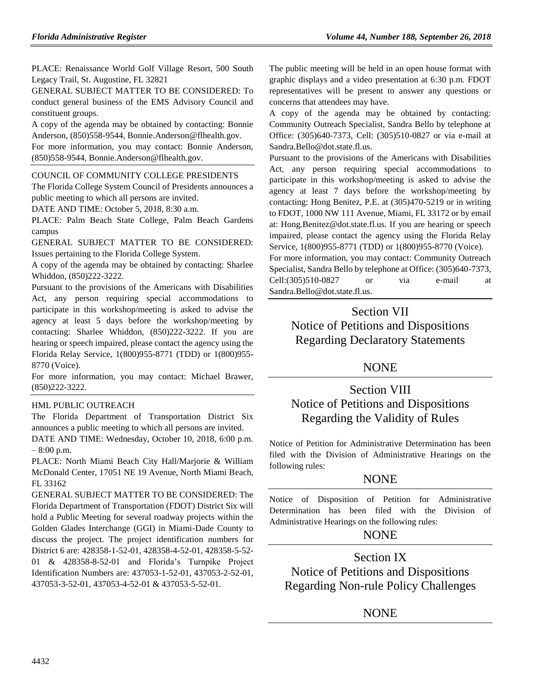PLACE: Renaissance World Golf Village Resort, 500 South Legacy Trail, St. Augustine, FL 32821

GENERAL SUBJECT MATTER TO BE CONSIDERED: To conduct general business of the EMS Advisory Council and constituent groups.

A copy of the agenda may be obtained by contacting: Bonnie Anderson, (850)558-9544, Bonnie.Anderson@flhealth.gov.

For more information, you may contact: Bonnie Anderson, (850)558-9544, Bonnie.Anderson@flhealth.gov.

### [COUNCIL OF COMMUNITY COLLEGE PRESIDENTS](https://www.flrules.org/gateway/organization.asp?id=740)

The Florida College System Council of Presidents announces a public meeting to which all persons are invited.

DATE AND TIME: October 5, 2018, 8:30 a.m.

PLACE: Palm Beach State College, Palm Beach Gardens campus

GENERAL SUBJECT MATTER TO BE CONSIDERED: Issues pertaining to the Florida College System.

A copy of the agenda may be obtained by contacting: Sharlee Whiddon, (850)222-3222.

Pursuant to the provisions of the Americans with Disabilities Act, any person requiring special accommodations to participate in this workshop/meeting is asked to advise the agency at least 5 days before the workshop/meeting by contacting: Sharlee Whiddon, (850)222-3222. If you are hearing or speech impaired, please contact the agency using the Florida Relay Service, 1(800)955-8771 (TDD) or 1(800)955- 8770 (Voice).

For more information, you may contact: Michael Brawer, (850)222-3222.

## [HML PUBLIC OUTREACH](https://www.flrules.org/gateway/organization.asp?id=1210)

The Florida Department of Transportation District Six announces a public meeting to which all persons are invited.

DATE AND TIME: Wednesday, October 10, 2018, 6:00 p.m. – 8:00 p.m.

PLACE: North Miami Beach City Hall/Marjorie & William McDonald Center, 17051 NE 19 Avenue, North Miami Beach, FL 33162

GENERAL SUBJECT MATTER TO BE CONSIDERED: The Florida Department of Transportation (FDOT) District Six will hold a Public Meeting for several roadway projects within the Golden Glades Interchange (GGI) in Miami-Dade County to discuss the project. The project identification numbers for District 6 are: 428358-1-52-01, 428358-4-52-01, 428358-5-52- 01 & 428358-8-52-01 and Florida's Turnpike Project Identification Numbers are: 437053-1-52-01, 437053-2-52-01, 437053-3-52-01, 437053-4-52-01 & 437053-5-52-01.

The public meeting will be held in an open house format with graphic displays and a video presentation at 6:30 p.m. FDOT representatives will be present to answer any questions or concerns that attendees may have.

A copy of the agenda may be obtained by contacting: Community Outreach Specialist, Sandra Bello by telephone at Office: (305)640-7373, Cell: (305)510-0827 or via e-mail at Sandra.Bello@dot.state.fl.us.

Pursuant to the provisions of the Americans with Disabilities Act, any person requiring special accommodations to participate in this workshop/meeting is asked to advise the agency at least 7 days before the workshop/meeting by contacting: Hong Benitez, P.E. at (305)470-5219 or in writing to FDOT, 1000 NW 111 Avenue, Miami, FL 33172 or by email at: Hong.Benitez@dot.state.fl.us. If you are hearing or speech impaired, please contact the agency using the Florida Relay Service, 1(800)955-8771 (TDD) or 1(800)955-8770 (Voice). For more information, you may contact: Community Outreach Specialist, Sandra Bello by telephone at Office: (305)640-7373, Cell:(305)510-0827 or via e-mail at

# Section VII Notice of Petitions and Dispositions Regarding Declaratory Statements

Sandra.Bello@dot.state.fl.us.

## NONE

# Section VIII Notice of Petitions and Dispositions Regarding the Validity of Rules

Notice of Petition for Administrative Determination has been filed with the Division of Administrative Hearings on the following rules:

## **NONE**

Notice of Disposition of Petition for Administrative Determination has been filed with the Division of Administrative Hearings on the following rules:

## NONE

Section IX Notice of Petitions and Dispositions Regarding Non-rule Policy Challenges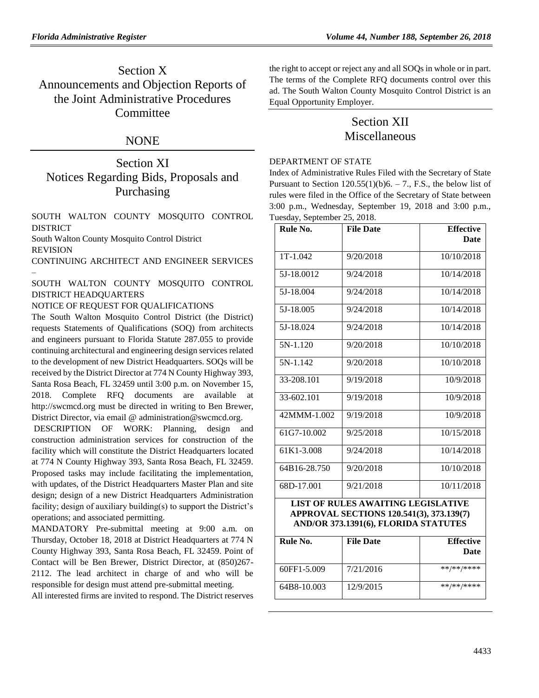# Section X Announcements and Objection Reports of the Joint Administrative Procedures **Committee**

## NONE

# Section XI Notices Regarding Bids, Proposals and Purchasing

[SOUTH WALTON COUNTY MOSQUITO CONTROL](https://www.flrules.org/gateway/organization.asp?id=1346)  [DISTRICT](https://www.flrules.org/gateway/organization.asp?id=1346)

South Walton County Mosquito Control District REVISION

CONTINUING ARCHITECT AND ENGINEER SERVICES –

SOUTH WALTON COUNTY MOSQUITO CONTROL DISTRICT HEADQUARTERS

NOTICE OF REQUEST FOR QUALIFICATIONS

The South Walton Mosquito Control District (the District) requests Statements of Qualifications (SOQ) from architects and engineers pursuant to Florida Statute 287.055 to provide continuing architectural and engineering design services related to the development of new District Headquarters. SOQs will be received by the District Director at 774 N County Highway 393, Santa Rosa Beach, FL 32459 until 3:00 p.m. on November 15, 2018. Complete RFQ documents are available at http://swcmcd.org must be directed in writing to Ben Brewer, District Director, via email @ [administration@swcmcd.org.](mailto:administration@swcmcd.org)

DESCRIPTION OF WORK: Planning, design and construction administration services for construction of the facility which will constitute the District Headquarters located at 774 N County Highway 393, Santa Rosa Beach, FL 32459. Proposed tasks may include facilitating the implementation, with updates, of the District Headquarters Master Plan and site design; design of a new District Headquarters Administration facility; design of auxiliary building(s) to support the District's operations; and associated permitting.

MANDATORY Pre-submittal meeting at 9:00 a.m. on Thursday, October 18, 2018 at District Headquarters at 774 N County Highway 393, Santa Rosa Beach, FL 32459. Point of Contact will be Ben Brewer, District Director, at (850)267- 2112. The lead architect in charge of and who will be responsible for design must attend pre-submittal meeting.

All interested firms are invited to respond. The District reserves

the right to accept or reject any and all SOQs in whole or in part. The terms of the Complete RFQ documents control over this ad. The South Walton County Mosquito Control District is an Equal Opportunity Employer.

## Section XII Miscellaneous

#### [DEPARTMENT OF STATE](https://www.flrules.org/gateway/department.asp?id=1)

Index of Administrative Rules Filed with the Secretary of State Pursuant to Section  $120.55(1)(b)6. - 7$ ., F.S., the below list of rules were filed in the Office of the Secretary of State between 3:00 p.m., Wednesday, September 19, 2018 and 3:00 p.m., Tuesday, September 25, 2018.

| Rule No.     | <b>File Date</b> | <b>Effective</b> |
|--------------|------------------|------------------|
|              |                  | Date             |
| $1T-1.042$   | 9/20/2018        | 10/10/2018       |
| 5J-18.0012   | 9/24/2018        | 10/14/2018       |
| 5J-18.004    | 9/24/2018        | 10/14/2018       |
| 5J-18.005    | 9/24/2018        | 10/14/2018       |
| 5J-18.024    | 9/24/2018        | 10/14/2018       |
| $5N-1.120$   | 9/20/2018        | 10/10/2018       |
| 5N-1.142     | 9/20/2018        | 10/10/2018       |
| 33-208.101   | 9/19/2018        | 10/9/2018        |
| 33-602.101   | 9/19/2018        | 10/9/2018        |
| 42MMM-1.002  | 9/19/2018        | 10/9/2018        |
| 61G7-10.002  | 9/25/2018        | 10/15/2018       |
| 61K1-3.008   | 9/24/2018        | 10/14/2018       |
| 64B16-28.750 | 9/20/2018        | 10/10/2018       |
| 68D-17.001   | 9/21/2018        | 10/11/2018       |

## **LIST OF RULES AWAITING LEGISLATIVE APPROVAL SECTIONS 120.541(3), 373.139(7) AND/OR 373.1391(6), FLORIDA STATUTES**

| Rule No.    | <b>File Date</b> | <b>Effective</b><br>Date |
|-------------|------------------|--------------------------|
| 60FF1-5.009 | 7/21/2016        | **/**/****               |
| 64B8-10.003 | 12/9/2015        | **/**/****               |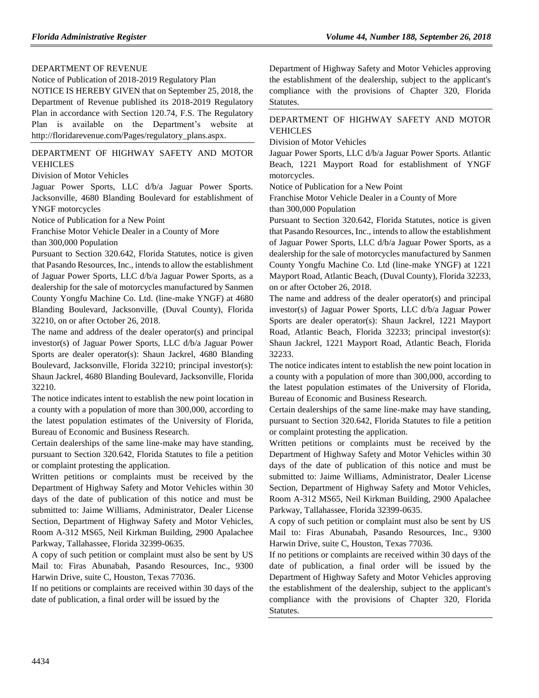#### [DEPARTMENT OF REVENUE](https://www.flrules.org/gateway/department.asp?id=12)

Notice of Publication of 2018-2019 Regulatory Plan

NOTICE IS HEREBY GIVEN that on September 25, 2018, the Department of Revenue published its 2018-2019 Regulatory Plan in accordance with Section 120.74, F.S. The Regulatory Plan is available on the Department's website at [http://floridarevenue.com/Pages/regulatory\\_plans.aspx.](http://floridarevenue.com/Pages/regulatory_plans.aspx)

#### [DEPARTMENT OF HIGHWAY SAFETY AND MOTOR](https://www.flrules.org/gateway/department.asp?id=15)  [VEHICLES](https://www.flrules.org/gateway/department.asp?id=15)

[Division of Motor Vehicles](https://www.flrules.org/gateway/organization.asp?id=42)

Jaguar Power Sports, LLC d/b/a Jaguar Power Sports. Jacksonville, 4680 Blanding Boulevard for establishment of YNGF motorcycles

Notice of Publication for a New Point

Franchise Motor Vehicle Dealer in a County of More than 300,000 Population

Pursuant to Section 320.642, Florida Statutes, notice is given that Pasando Resources, Inc., intends to allow the establishment of Jaguar Power Sports, LLC d/b/a Jaguar Power Sports, as a dealership for the sale of motorcycles manufactured by Sanmen County Yongfu Machine Co. Ltd. (line-make YNGF) at 4680 Blanding Boulevard, Jacksonville, (Duval County), Florida 32210, on or after October 26, 2018.

The name and address of the dealer operator(s) and principal investor(s) of Jaguar Power Sports, LLC d/b/a Jaguar Power Sports are dealer operator(s): Shaun Jackrel, 4680 Blanding Boulevard, Jacksonville, Florida 32210; principal investor(s): Shaun Jackrel, 4680 Blanding Boulevard, Jacksonville, Florida 32210.

The notice indicates intent to establish the new point location in a county with a population of more than 300,000, according to the latest population estimates of the University of Florida, Bureau of Economic and Business Research.

Certain dealerships of the same line-make may have standing, pursuant to Section 320.642, Florida Statutes to file a petition or complaint protesting the application.

Written petitions or complaints must be received by the Department of Highway Safety and Motor Vehicles within 30 days of the date of publication of this notice and must be submitted to: Jaime Williams, Administrator, Dealer License Section, Department of Highway Safety and Motor Vehicles, Room A-312 MS65, Neil Kirkman Building, 2900 Apalachee Parkway, Tallahassee, Florida 32399-0635.

A copy of such petition or complaint must also be sent by US Mail to: Firas Abunabah, Pasando Resources, Inc., 9300 Harwin Drive, suite C, Houston, Texas 77036.

If no petitions or complaints are received within 30 days of the date of publication, a final order will be issued by the

Department of Highway Safety and Motor Vehicles approving the establishment of the dealership, subject to the applicant's compliance with the provisions of Chapter 320, Florida Statutes.

## [DEPARTMENT OF HIGHWAY SAFETY AND MOTOR](https://www.flrules.org/gateway/department.asp?id=15)  [VEHICLES](https://www.flrules.org/gateway/department.asp?id=15)

[Division of Motor Vehicles](https://www.flrules.org/gateway/organization.asp?id=42)

Jaguar Power Sports, LLC d/b/a Jaguar Power Sports. Atlantic Beach, 1221 Mayport Road for establishment of YNGF motorcycles.

Notice of Publication for a New Point

Franchise Motor Vehicle Dealer in a County of More than 300,000 Population

Pursuant to Section 320.642, Florida Statutes, notice is given that Pasando Resources, Inc., intends to allow the establishment of Jaguar Power Sports, LLC d/b/a Jaguar Power Sports, as a dealership for the sale of motorcycles manufactured by Sanmen County Yongfu Machine Co. Ltd (line-make YNGF) at 1221 Mayport Road, Atlantic Beach, (Duval County), Florida 32233, on or after October 26, 2018.

The name and address of the dealer operator(s) and principal investor(s) of Jaguar Power Sports, LLC d/b/a Jaguar Power Sports are dealer operator(s): Shaun Jackrel, 1221 Mayport Road, Atlantic Beach, Florida 32233; principal investor(s): Shaun Jackrel, 1221 Mayport Road, Atlantic Beach, Florida 32233.

The notice indicates intent to establish the new point location in a county with a population of more than 300,000, according to the latest population estimates of the University of Florida, Bureau of Economic and Business Research.

Certain dealerships of the same line-make may have standing, pursuant to Section 320.642, Florida Statutes to file a petition or complaint protesting the application.

Written petitions or complaints must be received by the Department of Highway Safety and Motor Vehicles within 30 days of the date of publication of this notice and must be submitted to: Jaime Williams, Administrator, Dealer License Section, Department of Highway Safety and Motor Vehicles, Room A-312 MS65, Neil Kirkman Building, 2900 Apalachee Parkway, Tallahassee, Florida 32399-0635.

A copy of such petition or complaint must also be sent by US Mail to: Firas Abunabah, Pasando Resources, Inc., 9300 Harwin Drive, suite C, Houston, Texas 77036.

If no petitions or complaints are received within 30 days of the date of publication, a final order will be issued by the Department of Highway Safety and Motor Vehicles approving the establishment of the dealership, subject to the applicant's compliance with the provisions of Chapter 320, Florida Statutes.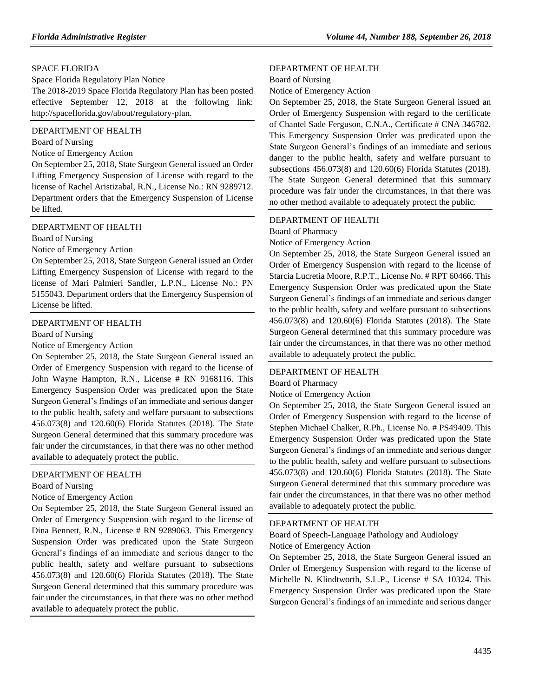#### [SPACE FLORIDA](https://www.flrules.org/gateway/department.asp?id=57)

Space Florida Regulatory Plan Notice

The 2018-2019 Space Florida Regulatory Plan has been posted effective September 12, 2018 at the following link: http://spaceflorida.gov/about/regulatory-plan.

#### [DEPARTMENT OF HEALTH](https://www.flrules.org/gateway/department.asp?id=64)

[Board of Nursing](https://www.flrules.org/gateway/organization.asp?id=332)

#### Notice of Emergency Action

On September 25, 2018, State Surgeon General issued an Order Lifting Emergency Suspension of License with regard to the license of Rachel Aristizabal, R.N., License No.: RN 9289712. Department orders that the Emergency Suspension of License be lifted.

#### [DEPARTMENT OF HEALTH](https://www.flrules.org/gateway/department.asp?id=64)

[Board of Nursing](https://www.flrules.org/gateway/organization.asp?id=332)

Notice of Emergency Action

On September 25, 2018, State Surgeon General issued an Order Lifting Emergency Suspension of License with regard to the license of Mari Palmieri Sandler, L.P.N., License No.: PN 5155043. Department orders that the Emergency Suspension of License be lifted.

#### [DEPARTMENT OF HEALTH](https://www.flrules.org/gateway/department.asp?id=64)

[Board of Nursing](https://www.flrules.org/gateway/organization.asp?id=332)

#### Notice of Emergency Action

On September 25, 2018, the State Surgeon General issued an Order of Emergency Suspension with regard to the license of John Wayne Hampton, R.N., License # RN 9168116. This Emergency Suspension Order was predicated upon the State Surgeon General's findings of an immediate and serious danger to the public health, safety and welfare pursuant to subsections 456.073(8) and 120.60(6) Florida Statutes (2018). The State Surgeon General determined that this summary procedure was fair under the circumstances, in that there was no other method available to adequately protect the public.

#### [DEPARTMENT OF HEALTH](https://www.flrules.org/gateway/department.asp?id=64)

[Board of Nursing](https://www.flrules.org/gateway/organization.asp?id=332)

Notice of Emergency Action

On September 25, 2018, the State Surgeon General issued an Order of Emergency Suspension with regard to the license of Dina Bennett, R.N., License # RN 9289063. This Emergency Suspension Order was predicated upon the State Surgeon General's findings of an immediate and serious danger to the public health, safety and welfare pursuant to subsections 456.073(8) and 120.60(6) Florida Statutes (2018). The State Surgeon General determined that this summary procedure was fair under the circumstances, in that there was no other method available to adequately protect the public.

#### [DEPARTMENT OF HEALTH](https://www.flrules.org/gateway/department.asp?id=64)

#### [Board of Nursing](https://www.flrules.org/gateway/organization.asp?id=332)

Notice of Emergency Action

On September 25, 2018, the State Surgeon General issued an Order of Emergency Suspension with regard to the certificate of Chantel Sade Ferguson, C.N.A., Certificate # CNA 346782. This Emergency Suspension Order was predicated upon the State Surgeon General's findings of an immediate and serious danger to the public health, safety and welfare pursuant to subsections 456.073(8) and 120.60(6) Florida Statutes (2018). The State Surgeon General determined that this summary procedure was fair under the circumstances, in that there was no other method available to adequately protect the public.

#### [DEPARTMENT OF HEALTH](https://www.flrules.org/gateway/department.asp?id=64) [Board of Pharmacy](https://www.flrules.org/gateway/organization.asp?id=307)

Notice of Emergency Action

On September 25, 2018, the State Surgeon General issued an Order of Emergency Suspension with regard to the license of Starcia Lucretia Moore, R.P.T., License No. # RPT 60466. This Emergency Suspension Order was predicated upon the State Surgeon General's findings of an immediate and serious danger to the public health, safety and welfare pursuant to subsections 456.073(8) and 120.60(6) Florida Statutes (2018). The State Surgeon General determined that this summary procedure was fair under the circumstances, in that there was no other method available to adequately protect the public.

#### [DEPARTMENT OF HEALTH](https://www.flrules.org/gateway/department.asp?id=64)

[Board of Pharmacy](https://www.flrules.org/gateway/organization.asp?id=307)

Notice of Emergency Action

On September 25, 2018, the State Surgeon General issued an Order of Emergency Suspension with regard to the license of Stephen Michael Chalker, R.Ph., License No. # PS49409. This Emergency Suspension Order was predicated upon the State Surgeon General's findings of an immediate and serious danger to the public health, safety and welfare pursuant to subsections 456.073(8) and 120.60(6) Florida Statutes (2018). The State Surgeon General determined that this summary procedure was fair under the circumstances, in that there was no other method available to adequately protect the public.

#### [DEPARTMENT OF HEALTH](https://www.flrules.org/gateway/department.asp?id=64)

[Board of Speech-Language Pathology and Audiology](https://www.flrules.org/gateway/organization.asp?id=312) Notice of Emergency Action

On September 25, 2018, the State Surgeon General issued an Order of Emergency Suspension with regard to the license of Michelle N. Klindtworth, S.L.P., License # SA 10324. This Emergency Suspension Order was predicated upon the State Surgeon General's findings of an immediate and serious danger